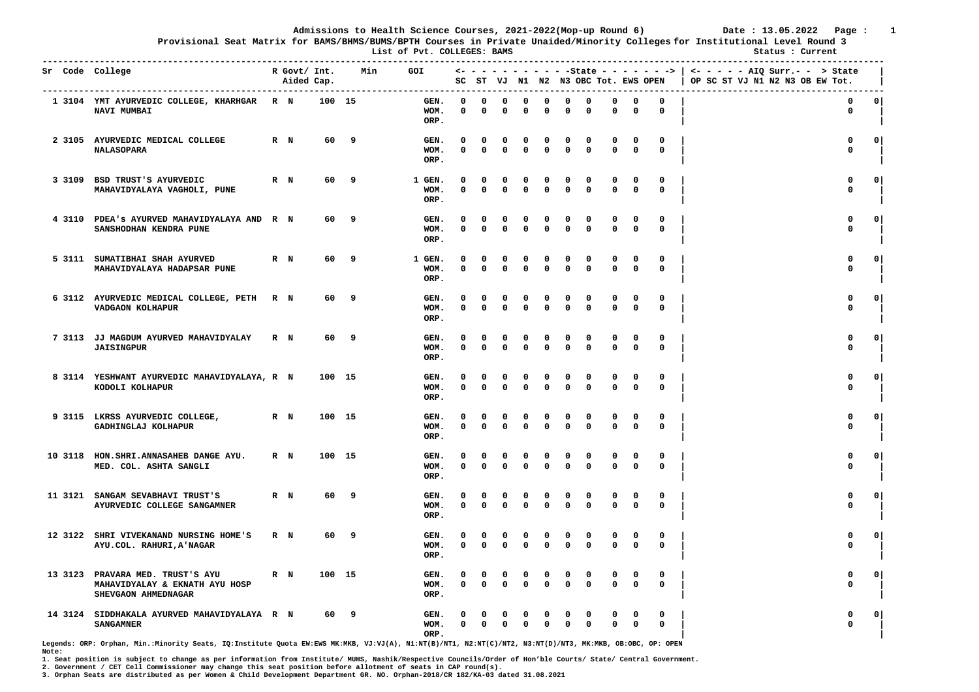**Provisional Seat Matrix for BAMS/BHMS/BUMS/BPTH Courses in Private Unaided/Minority Colleges for Institutional Level Round 3**

 **List of Pvt. COLLEGES: BAMS Status : Current** 

|         | Sr Code College                                                                           |         | R Govt/ Int.<br>Aided Cap. |        | Min | GOI |                        |                      |                  |                          |                  |                          |               | SC ST VJ N1 N2 N3 OBC Tot. EWS OPEN |                            |                            |                  | <- - - - - - - - - - - State - - - - - - >   <- - - - - - AIQ Surr.- - > State<br>OP SC ST VJ N1 N2 N3 OB EW Tot. |              |
|---------|-------------------------------------------------------------------------------------------|---------|----------------------------|--------|-----|-----|------------------------|----------------------|------------------|--------------------------|------------------|--------------------------|---------------|-------------------------------------|----------------------------|----------------------------|------------------|-------------------------------------------------------------------------------------------------------------------|--------------|
|         | 1 3104 YMT AYURVEDIC COLLEGE, KHARHGAR R N<br>NAVI MUMBAI                                 |         |                            | 100 15 |     |     | GEN.<br>WOM.<br>ORP.   | <sup>o</sup><br>0    | $\Omega$<br>0    | O<br>0                   | $\Omega$<br>0    | $\Omega$<br>$\Omega$     | $\Omega$<br>0 | $\Omega$<br>0                       | $\Omega$<br>$\Omega$       | 0<br>0                     | $\Omega$<br>0    | $\mathbf 0$<br>0                                                                                                  | 0            |
|         | 2 3105 AYURVEDIC MEDICAL COLLEGE<br><b>NALASOPARA</b>                                     | R N     |                            | 60     | 9   |     | GEN.<br>WOM.<br>ORP.   | O<br>0               | 0<br>$\Omega$    | 0<br>$\mathbf{0}$        | 0<br>0           | 0<br>$\mathbf{0}$        | 0<br>0        | 0<br>$\mathbf{0}$                   | $\Omega$<br>$\mathbf{0}$   | 0<br>$\mathbf{0}$          | 0<br>$\mathbf 0$ | 0<br>$\mathbf 0$                                                                                                  | $\Omega$     |
|         | 3 3109 BSD TRUST'S AYURVEDIC<br>MAHAVIDYALAYA VAGHOLI, PUNE                               | $R$ $N$ |                            | 60     | 9   |     | 1 GEN.<br>WOM.<br>ORP. | 0<br>$\Omega$        | 0<br>$\Omega$    | 0<br>0                   | 0<br>0           | $\Omega$                 | 0<br>0        | 0<br>$\Omega$                       | $\mathbf 0$                | 0<br>0                     | 0<br>$\mathbf 0$ | 0<br>$\mathbf 0$                                                                                                  | 0            |
|         | 4 3110 PDEA's AYURVED MAHAVIDYALAYA AND R N<br>SANSHODHAN KENDRA PUNE                     |         |                            | 60     | 9   |     | GEN.<br>WOM.<br>ORP.   | O<br>0               | 0<br>$\Omega$    | $\Omega$<br>$\Omega$     | 0<br>$\Omega$    | 0<br>$\Omega$            | 0<br>0        | 0<br>$\Omega$                       | 0<br>$\mathbf 0$           | 0<br>$\mathbf 0$           | 0<br>0           | 0<br>$\mathbf 0$                                                                                                  | $\mathbf{0}$ |
|         | 5 3111 SUMATIBHAI SHAH AYURVED<br>MAHAVIDYALAYA HADAPSAR PUNE                             | R N     |                            | 60     | 9   |     | 1 GEN.<br>WOM.<br>ORP. | $\Omega$<br>0        | 0<br>$\mathbf 0$ | 0<br>0                   | 0<br>0           | n<br>$\mathbf 0$         | 0<br>0        | $\Omega$<br>$\mathbf 0$             | $\mathbf 0$<br>$\mathbf 0$ | 0<br>$\mathbf 0$           | 0<br>$\mathbf 0$ | 0<br>$\mathbf 0$                                                                                                  | 0            |
|         | 6 3112 AYURVEDIC MEDICAL COLLEGE, PETH<br>VADGAON KOLHAPUR                                | R N     |                            | 60     | 9   |     | GEN.<br>WOM.<br>ORP.   | 0<br>0               | 0<br>$\Omega$    | $\Omega$<br>$\mathbf{0}$ | 0<br>$\Omega$    | $\Omega$<br>$\mathbf{0}$ | 0<br>0        | 0<br>$\mathbf{0}$                   | 0<br>$\mathbf{0}$          | $\mathbf 0$<br>$\mathbf 0$ | 0<br>$\mathbf 0$ | $\mathbf 0$<br>$\mathbf{0}$                                                                                       | $\mathbf 0$  |
|         | 7 3113 JJ MAGDUM AYURVED MAHAVIDYALAY<br><b>JAISINGPUR</b>                                | $R$ N   |                            | 60     | 9   |     | GEN.<br>WOM.<br>ORP.   | $\Omega$<br>$\Omega$ | 0<br>$\Omega$    | 0<br>0                   | 0<br>$\Omega$    | n<br>$\Omega$            | 0<br>0        | $\Omega$<br>$\Omega$                | $\Omega$<br>$\mathbf 0$    | 0<br>0                     | 0<br>$\mathbf 0$ | $\mathbf 0$<br>$\mathbf 0$                                                                                        | 0            |
|         | 8 3114 YESHWANT AYURVEDIC MAHAVIDYALAYA, R N<br>KODOLI KOLHAPUR                           |         |                            | 100 15 |     |     | GEN.<br>WOM.<br>ORP.   | O<br>0               | 0<br>0           | $\Omega$<br>0            | 0<br>0           | $\Omega$<br>$\Omega$     | 0<br>0        | $\Omega$<br>0                       | 0<br>$\mathbf 0$           | 0<br>$\mathbf 0$           | 0<br>$\mathbf 0$ | $\mathbf{0}$<br>$\mathbf 0$                                                                                       | $\circ$      |
|         | 9 3115 LKRSS AYURVEDIC COLLEGE,<br>GADHINGLAJ KOLHAPUR                                    | $R$ N   |                            | 100 15 |     |     | GEN.<br>WOM.<br>ORP.   | O<br>$\Omega$        | 0<br>$\mathbf 0$ | 0<br>$\Omega$            | 0<br>0           | $\Omega$<br>$\Omega$     | 0<br>0        | $\Omega$<br>$\Omega$                | $\Omega$<br>$\Omega$       | 0<br>$\mathbf 0$           | 0<br>$\mathbf 0$ | $\Omega$<br>$\mathbf 0$                                                                                           | 0            |
|         | 10 3118 HON. SHRI. ANNASAHEB DANGE AYU.<br>MED. COL. ASHTA SANGLI                         | $R$ N   |                            | 100 15 |     |     | GEN.<br>WOM.<br>ORP.   | 0<br>0               | 0<br>$\Omega$    | 0<br>$\Omega$            | 0<br>0           | 0<br>$\Omega$            | 0<br>0        | 0<br>$\Omega$                       | 0<br>$\Omega$              | 0<br>$\mathbf 0$           | 0<br>$\mathbf 0$ | 0<br>$\mathbf 0$                                                                                                  | $\mathbf 0$  |
| 11 3121 | SANGAM SEVABHAVI TRUST'S<br>AYURVEDIC COLLEGE SANGAMNER                                   | $R$ $N$ |                            | 60     | 9   |     | GEN.<br>WOM.<br>ORP.   | $\Omega$<br>0        | 0<br>$\mathbf 0$ | $\Omega$<br>$\Omega$     | $\Omega$<br>0    | 0<br>$\Omega$            | $\Omega$<br>0 | $\Omega$<br>0                       | 0<br>$\mathbf 0$           | 0<br>0                     | $\mathbf 0$<br>0 | $\mathbf 0$<br>0                                                                                                  | $\circ$      |
| 12 3122 | SHRI VIVEKANAND NURSING HOME'S<br>AYU.COL. RAHURI, A'NAGAR                                | R N     |                            | 60     | 9   |     | GEN.<br>WOM.<br>ORP.   | 0<br>0               | 0<br>$\Omega$    | 0<br>$\Omega$            | 0<br>0           | $\Omega$<br>$\Omega$     | 0<br>0        | 0<br>$\Omega$                       | 0<br>$\mathbf{0}$          | 0<br>0                     | 0<br>$\mathbf 0$ | 0<br>$\mathbf 0$                                                                                                  | $\mathbf{o}$ |
|         | 13 3123 PRAVARA MED. TRUST'S AYU<br>MAHAVIDYALAY & EKNATH AYU HOSP<br>SHEVGAON AHMEDNAGAR | $R$ N   |                            | 100 15 |     |     | GEN.<br>WOM.<br>ORP.   | $\Omega$<br>0        | 0<br>$\mathbf 0$ | 0<br>$\mathbf 0$         | 0<br>$\mathbf 0$ | $\Omega$<br>$\mathbf{0}$ | 0<br>0        | $\Omega$<br>$\mathbf 0$             | $\Omega$<br>$\mathbf 0$    | 0<br>$\mathbf 0$           | 0<br>$\mathbf 0$ | $\mathbf 0$<br>$\mathbf 0$                                                                                        | $\mathbf{0}$ |
| 14 3124 | SIDDHAKALA AYURVED MAHAVIDYALAYA R N<br><b>SANGAMNER</b>                                  |         |                            | 60     | 9   |     | GEN.<br>WOM.<br>ORP.   | 0                    | $\Omega$         | 0                        | $\Omega$         | $\Omega$                 | 0<br>$\Omega$ | 0<br>$\Omega$                       | $\Omega$                   | 0<br>0                     | 0<br>$\mathbf 0$ | $\Omega$<br>$\Omega$                                                                                              | 0            |

**Legends: ORP: Orphan, Min.:Minority Seats, IQ:Institute Quota EW:EWS MK:MKB, VJ:VJ(A), N1:NT(B)/NT1, N2:NT(C)/NT2, N3:NT(D)/NT3, MK:MKB, OB:OBC, OP: OPEN Note:** 

**1. Seat position is subject to change as per information from Institute/ MUHS, Nashik/Respective Councils/Order of Hon'ble Courts/ State/ Central Government.** 

**2. Government / CET Cell Commissioner may change this seat position before allotment of seats in CAP round(s).**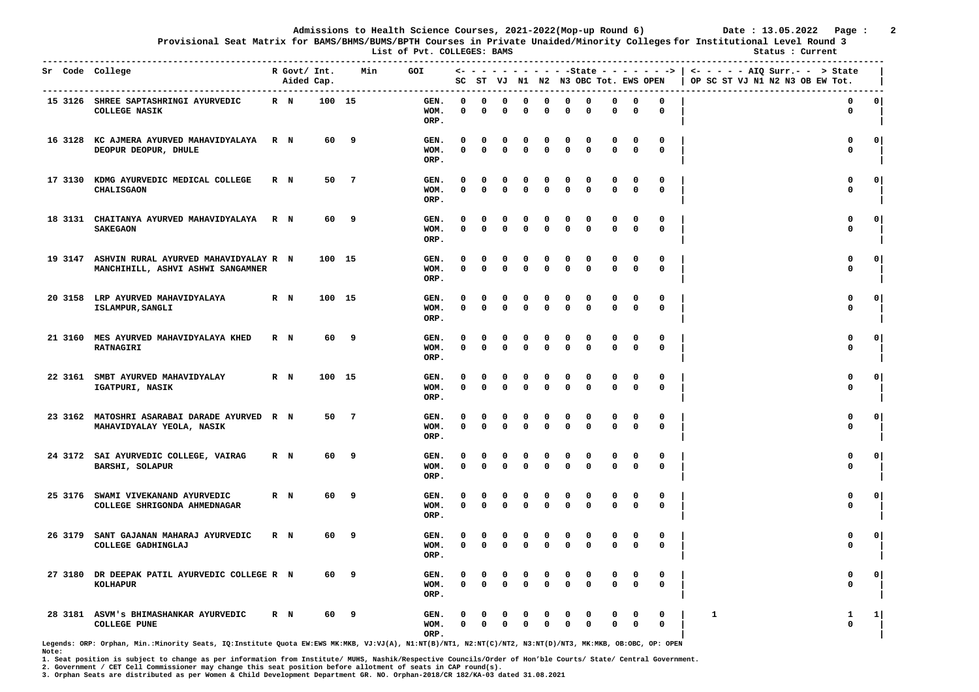**Provisional Seat Matrix for BAMS/BHMS/BUMS/BPTH Courses in Private Unaided/Minority Colleges for Institutional Level Round 3**

 **List of Pvt. COLLEGES: BAMS Status : Current** 

|         | Sr Code College                                                            |       | R Govt/ Int.<br>Aided Cap. |        | Min            | <b>GOI</b>           |               |                         |                      |                         |                            |                      | SC ST VJ N1 N2 N3 OBC Tot. EWS OPEN |                            |                         | <- - - - - - - - - - -State - - - - - - -> | $\leftarrow$ - - - - AIQ Surr.- - > State<br>OP SC ST VJ N1 N2 N3 OB EW Tot. |              |
|---------|----------------------------------------------------------------------------|-------|----------------------------|--------|----------------|----------------------|---------------|-------------------------|----------------------|-------------------------|----------------------------|----------------------|-------------------------------------|----------------------------|-------------------------|--------------------------------------------|------------------------------------------------------------------------------|--------------|
|         | 15 3126 SHREE SAPTASHRINGI AYURVEDIC<br><b>COLLEGE NASIK</b>               | $R$ N |                            | 100 15 |                | GEN.<br>WOM.<br>ORP. | $\Omega$<br>0 | $\Omega$<br>$\Omega$    | $\Omega$<br>0        | O<br>0                  | $\mathbf 0$<br>0           | 0<br>0               | $\Omega$<br>0                       | 0<br>0                     | 0<br>0                  | $\mathbf 0$<br>$\mathbf 0$                 | 0<br>0                                                                       | $\circ$      |
| 16 3128 | KC AJMERA AYURVED MAHAVIDYALAYA<br>DEOPUR DEOPUR, DHULE                    | R N   |                            | 60     | 9              | GEN.<br>WOM.<br>ORP. | O<br>$\Omega$ | 0<br>$\Omega$           | 0<br>0               | 0<br>$\mathbf{0}$       | 0<br>$\mathbf{0}$          | 0<br>0               | 0<br>$\Omega$                       | 0<br>$\mathbf 0$           | 0<br>$\mathbf{0}$       | 0<br>$\Omega$                              | 0<br>$\mathbf 0$                                                             | $\Omega$     |
| 17 3130 | KDMG AYURVEDIC MEDICAL COLLEGE<br><b>CHALISGAON</b>                        | R N   |                            | 50     | $\overline{7}$ | GEN.<br>WOM.<br>ORP. | 0<br>0        | 0<br>$\Omega$           | 0<br>0               | 0<br>$\mathbf 0$        | 0<br>$\mathbf 0$           | 0<br>0               | 0<br>$\Omega$                       | 0<br>$\mathbf 0$           | 0<br>$\mathbf 0$        | 0<br>$\mathbf 0$                           | 0<br>$\mathbf 0$                                                             | $\mathbf{o}$ |
| 18 3131 | CHAITANYA AYURVED MAHAVIDYALAYA<br><b>SAKEGAON</b>                         | R N   |                            | 60     | 9              | GEN.<br>WOM.<br>ORP. | O<br>0        | 0<br>$\mathbf{0}$       | 0<br>0               | 0<br>0                  | 0<br>$\mathbf{0}$          | 0<br>0               | 0<br>$\Omega$                       | 0<br>$\mathbf 0$           | $\Omega$<br>0           | 0<br>0                                     | 0<br>$\mathbf{0}$                                                            | $\Omega$     |
| 19 3147 | ASHVIN RURAL AYURVED MAHAVIDYALAY R N<br>MANCHIHILL, ASHVI ASHWI SANGAMNER |       |                            | 100 15 |                | GEN.<br>WOM.<br>ORP. | $\Omega$<br>0 | $\Omega$<br>$\Omega$    | $\Omega$<br>0        | $\Omega$<br>$\mathbf 0$ | $\mathbf 0$<br>$\mathbf 0$ | 0<br>0               | $\Omega$<br>0                       | $\mathbf 0$<br>$\mathbf 0$ | 0<br>$\mathbf 0$        | 0<br>$\mathbf 0$                           | 0<br>$\mathbf 0$                                                             | 0            |
| 20 3158 | LRP AYURVED MAHAVIDYALAYA<br>ISLAMPUR, SANGLI                              | $R$ N |                            | 100    | 15             | GEN.<br>WOM.<br>ORP. | 0<br>0        | 0<br>$\mathbf{0}$       | 0<br>$\Omega$        | 0<br>$\mathbf{0}$       | 0<br>$\mathbf 0$           | 0<br>0               | 0<br>$\mathbf{0}$                   | 0<br>$\mathbf 0$           | 0<br>$\mathbf{0}$       | 0<br>$\Omega$                              | $\mathbf{0}$<br>$\mathbf{0}$                                                 | $\mathbf 0$  |
| 21 3160 | MES AYURVED MAHAVIDYALAYA KHED<br><b>RATNAGIRI</b>                         | R N   |                            | 60     | 9              | GEN.<br>WOM.<br>ORP. | $\Omega$<br>0 | n<br>$\Omega$           | 0<br>0               | 0<br>0                  | $\mathbf 0$<br>$\Omega$    | 0<br>0               | 0<br>$\Omega$                       | 0<br>$\mathbf 0$           | 0<br>0                  | 0<br>$\mathbf 0$                           | 0<br>$\mathbf 0$                                                             | 0            |
| 22 3161 | SMBT AYURVED MAHAVIDYALAY<br>IGATPURI, NASIK                               | R N   |                            | 100    | 15             | GEN.<br>WOM.<br>ORP. | O<br>0        | $\Omega$<br>$\Omega$    | 0<br>0               | $\Omega$<br>0           | 0<br>$\mathbf 0$           | 0<br>0               | 0<br>0                              | 0<br>$\mathbf 0$           | 0<br>0                  | 0<br>$\mathbf 0$                           | $\Omega$<br>$\mathbf 0$                                                      | $\mathbf{o}$ |
| 23 3162 | MATOSHRI ASARABAI DARADE AYURVED R N<br>MAHAVIDYALAY YEOLA, NASIK          |       |                            | 50     | - 7            | GEN.<br>WOM.<br>ORP. | O<br>0        | O<br>$\Omega$           | 0<br>$\Omega$        | $\Omega$<br>0           | $\Omega$<br>0              | 0<br>$\Omega$        | $\Omega$<br>0                       | $\Omega$<br>$\mathbf 0$    | 0<br>0                  | 0<br>0                                     | $\Omega$<br>$\mathbf 0$                                                      | $\mathbf{0}$ |
|         | 24 3172 SAI AYURVEDIC COLLEGE, VAIRAG<br>BARSHI, SOLAPUR                   | R N   |                            | 60     | 9              | GEN.<br>WOM.<br>ORP. | 0<br>0        | $\Omega$<br>$\Omega$    | 0<br>$\Omega$        | 0<br>$\Omega$           | 0<br>$\mathbf{0}$          | 0<br>0               | 0<br>$\Omega$                       | 0<br>$\Omega$              | 0<br>0                  | 0<br>0                                     | 0<br>$\mathbf 0$                                                             | $\mathbf 0$  |
| 25 3176 | SWAMI VIVEKANAND AYURVEDIC<br>COLLEGE SHRIGONDA AHMEDNAGAR                 | $R$ N |                            | 60     | 9              | GEN.<br>WOM.<br>ORP. | $\Omega$<br>0 | 0<br>$\Omega$           | $\Omega$<br>$\Omega$ | 0<br>n                  | 0<br>$\Omega$              | $\Omega$<br>$\Omega$ | 0<br>0                              | 0<br>$\mathbf 0$           | $\mathbf 0$<br>0        | $\mathbf 0$<br>0                           | 0<br>$\mathbf 0$                                                             | 0            |
| 26 3179 | SANT GAJANAN MAHARAJ AYURVEDIC<br>COLLEGE GADHINGLAJ                       | R N   |                            | 60     | 9              | GEN.<br>WOM.<br>ORP. | 0<br>0        | $\Omega$<br>$\Omega$    | 0<br>$\Omega$        | 0<br>$\Omega$           | 0<br>$\Omega$              | 0<br>0               | 0<br>0                              | 0<br>$\Omega$              | 0<br>0                  | 0<br>0                                     | 0<br>$\mathbf 0$                                                             | $\mathbf{o}$ |
| 27 3180 | DR DEEPAK PATIL AYURVEDIC COLLEGE R N<br>KOLHAPUR                          |       |                            | 60     | 9              | GEN.<br>WOM.<br>ORP. | $\Omega$<br>0 | $\Omega$<br>$\mathbf 0$ | 0<br>$\mathbf 0$     | 0<br>$\mathbf{0}$       | 0<br>$\mathbf 0$           | 0<br>0               | 0<br>$\Omega$                       | 0<br>$\mathbf 0$           | $\Omega$<br>$\mathbf 0$ | $\Omega$<br>$\mathbf 0$                    | $\mathbf{0}$<br>$\mathbf 0$                                                  | $\Omega$     |
| 28 3181 | ASVM'S BHIMASHANKAR AYURVEDIC<br><b>COLLEGE PUNE</b>                       | R N   |                            | 60     | 9              | GEN.<br>WOM.<br>ORP. | 0             | $\mathbf{0}$            | 0                    | $\Omega$                | $\Omega$                   | 0<br>0               | 0<br>$\Omega$                       | 0<br>$\Omega$              | 0<br>0                  | 0<br>0                                     | 1<br>-1<br>$\Omega$                                                          | 1            |

**Legends: ORP: Orphan, Min.:Minority Seats, IQ:Institute Quota EW:EWS MK:MKB, VJ:VJ(A), N1:NT(B)/NT1, N2:NT(C)/NT2, N3:NT(D)/NT3, MK:MKB, OB:OBC, OP: OPEN Note:** 

**1. Seat position is subject to change as per information from Institute/ MUHS, Nashik/Respective Councils/Order of Hon'ble Courts/ State/ Central Government.** 

**2. Government / CET Cell Commissioner may change this seat position before allotment of seats in CAP round(s).**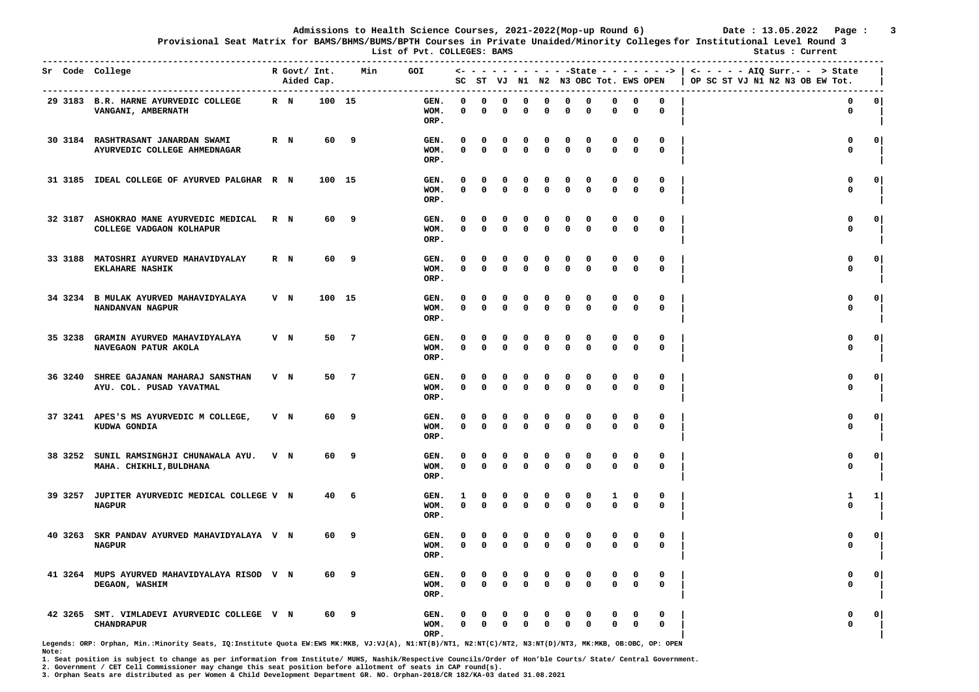**Provisional Seat Matrix for BAMS/BHMS/BUMS/BPTH Courses in Private Unaided/Minority Colleges for Institutional Level Round 3**

 **List of Pvt. COLLEGES: BAMS Status : Current** 

| Sr Code College |                                                                     |     | R Govt/ Int.<br>Aided Cap. |        |     | Min | <b>GOI</b>           |                      |                          |               |                         |                            |               | SC ST VJ N1 N2 N3 OBC Tot. EWS OPEN |                            |                         |                            | $\leftarrow$ - - - - - - - - - - - State - - - - - - >   <- - - - - - AIQ Surr.- - > State<br>OP SC ST VJ N1 N2 N3 OB EW Tot. |              |
|-----------------|---------------------------------------------------------------------|-----|----------------------------|--------|-----|-----|----------------------|----------------------|--------------------------|---------------|-------------------------|----------------------------|---------------|-------------------------------------|----------------------------|-------------------------|----------------------------|-------------------------------------------------------------------------------------------------------------------------------|--------------|
|                 | 29 3183 B.R. HARNE AYURVEDIC COLLEGE<br>VANGANI, AMBERNATH          |     | $R$ N                      | 100 15 |     |     | GEN.<br>WOM.<br>ORP. | $\Omega$<br>0        | $\Omega$<br>$\Omega$     | $\Omega$<br>0 | O<br>0                  | $\mathbf 0$<br>$\Omega$    | 0<br>0        | $\Omega$<br>0                       | 0<br>$\Omega$              | 0<br>0                  | $\mathbf 0$<br>$\mathbf 0$ | 0<br>0                                                                                                                        | 0            |
|                 | 30 3184 RASHTRASANT JANARDAN SWAMI<br>AYURVEDIC COLLEGE AHMEDNAGAR  |     | $R$ N                      | 60     | 9   |     | GEN.<br>WOM.<br>ORP. | O<br>$\Omega$        | 0<br>$\Omega$            | 0<br>0        | 0<br>$\mathbf{0}$       | 0<br>$\mathbf{0}$          | 0<br>0        | 0<br>$\Omega$                       | 0<br>$\mathbf 0$           | 0<br>$\mathbf 0$        | 0<br>$\Omega$              | 0<br>$\mathbf{0}$                                                                                                             | $\Omega$     |
| 31 3185         | IDEAL COLLEGE OF AYURVED PALGHAR R N                                |     |                            | 100 15 |     |     | GEN.<br>WOM.<br>ORP. | 0<br>0               | 0<br>$\Omega$            | 0<br>0        | 0<br>$\mathbf 0$        | 0<br>$\mathbf 0$           | 0<br>0        | 0<br>$\Omega$                       | 0<br>$\mathbf 0$           | 0<br>$\mathbf 0$        | 0<br>$\mathbf 0$           | 0<br>$\mathbf 0$                                                                                                              | $\mathbf{o}$ |
|                 | 32 3187 ASHOKRAO MANE AYURVEDIC MEDICAL<br>COLLEGE VADGAON KOLHAPUR | R N |                            | 60     | 9   |     | GEN.<br>WOM.<br>ORP. | O<br>0               | $\Omega$<br>$\mathbf{0}$ | 0<br>0        | 0<br>0                  | 0<br>$\mathbf{0}$          | 0<br>0        | 0<br>$\Omega$                       | 0<br>$\mathbf 0$           | $\Omega$<br>0           | 0<br>0                     | 0<br>$\mathbf 0$                                                                                                              | $\Omega$     |
| 33 3188         | MATOSHRI AYURVED MAHAVIDYALAY<br><b>EKLAHARE NASHIK</b>             |     | $R$ N                      | 60     | 9   |     | GEN.<br>WOM.<br>ORP. | $\Omega$<br>0        | n<br>$\Omega$            | $\Omega$<br>0 | $\Omega$<br>$\mathbf 0$ | $\mathbf 0$<br>$\mathbf 0$ | 0<br>0        | $\Omega$<br>0                       | $\mathbf 0$<br>$\mathbf 0$ | 0<br>$\mathbf 0$        | 0<br>$\mathbf 0$           | 0<br>$\mathbf 0$                                                                                                              | 0            |
| 34 3234         | B MULAK AYURVED MAHAVIDYALAYA<br>NANDANVAN NAGPUR                   | V N |                            | 100    | 15  |     | GEN.<br>WOM.<br>ORP. | 0<br>0               | 0<br>$\mathbf{0}$        | 0<br>$\Omega$ | 0<br>$\mathbf{0}$       | 0<br>$\mathbf 0$           | 0<br>0        | 0<br>$\mathbf{0}$                   | 0<br>$\mathbf 0$           | 0<br>$\mathbf{0}$       | 0<br>$\Omega$              | $\mathbf 0$<br>$\mathbf{0}$                                                                                                   | $\mathbf 0$  |
| 35 3238         | GRAMIN AYURVED MAHAVIDYALAYA<br>NAVEGAON PATUR AKOLA                |     | V N                        | 50     | - 7 |     | GEN.<br>WOM.<br>ORP. | $\Omega$<br>$\Omega$ | n<br>$\Omega$            | 0<br>0        | n<br>0                  | $\mathbf 0$<br>$\Omega$    | 0<br>0        | 0<br>$\Omega$                       | 0<br>$\mathbf 0$           | 0<br>0                  | 0<br>$\mathbf 0$           | 0<br>$\mathbf 0$                                                                                                              | 0            |
| 36 3240         | SHREE GAJANAN MAHARAJ SANSTHAN<br>AYU. COL. PUSAD YAVATMAL          | V N |                            | 50     | -7  |     | GEN.<br>WOM.<br>ORP. | O<br>0               | $\Omega$<br>$\Omega$     | 0<br>0        | $\Omega$<br>0           | 0<br>$\mathbf 0$           | 0<br>0        | 0<br>0                              | 0<br>$\mathbf 0$           | 0<br>0                  | $\mathbf 0$<br>$\mathbf 0$ | 0<br>$\mathbf 0$                                                                                                              | $\mathbf{o}$ |
|                 | 37 3241 APES'S MS AYURVEDIC M COLLEGE,<br>KUDWA GONDIA              |     | V N                        | 60     | 9   |     | GEN.<br>WOM.<br>ORP. | O<br>0               | O<br>$\Omega$            | 0<br>$\Omega$ | $\Omega$<br>0           | $\Omega$<br>0              | 0<br>0        | $\Omega$<br>0                       | $\Omega$<br>$\mathbf 0$    | 0<br>$\mathbf 0$        | 0<br>$\mathbf 0$           | $\Omega$<br>$\mathbf 0$                                                                                                       | $\mathbf{0}$ |
| 38 3252         | SUNIL RAMSINGHJI CHUNAWALA AYU.<br>MAHA. CHIKHLI, BULDHANA          | V N |                            | 60     | 9   |     | GEN.<br>WOM.<br>ORP. | 0<br>0               | $\Omega$<br>$\Omega$     | 0<br>$\Omega$ | 0<br>$\Omega$           | 0<br>$\mathbf{0}$          | 0<br>0        | 0<br>$\Omega$                       | 0<br>$\Omega$              | 0<br>0                  | 0<br>$\mathbf 0$           | 0<br>$\mathbf 0$                                                                                                              | $\mathbf 0$  |
| 39 3257         | JUPITER AYURVEDIC MEDICAL COLLEGE V N<br><b>NAGPUR</b>              |     |                            | 40     | 6   |     | GEN.<br>WOM.<br>ORP. | 1<br>0               | $\Omega$<br>$\Omega$     | $\Omega$<br>0 | 0<br>n                  | 0<br>$\Omega$              | $\Omega$<br>0 | 0<br>0                              | 1<br>$\mathbf 0$           | $\mathbf 0$<br>0        | $\mathbf 0$<br>0           | 1<br>$\mathbf 0$                                                                                                              | $1\vert$     |
| 40 3263         | SKR PANDAV AYURVED MAHAVIDYALAYA V N<br><b>NAGPUR</b>               |     |                            | 60     | 9   |     | GEN.<br>WOM.<br>ORP. | 0<br>0               | $\Omega$<br>$\Omega$     | 0<br>$\Omega$ | 0<br>$\Omega$           | 0<br>$\Omega$              | 0<br>0        | 0<br>0                              | 0<br>$\Omega$              | 0<br>0                  | 0<br>0                     | 0<br>$\mathbf 0$                                                                                                              | $\mathbf{o}$ |
| 41 3264         | MUPS AYURVED MAHAVIDYALAYA RISOD V N<br>DEGAON, WASHIM              |     |                            | 60     | 9   |     | GEN.<br>WOM.<br>ORP. | $\Omega$<br>0        | $\Omega$<br>$\mathbf 0$  | 0<br>0        | 0<br>$\mathbf{0}$       | 0<br>$\mathbf 0$           | 0<br>0        | 0<br>$\mathbf 0$                    | 0<br>$\mathbf 0$           | $\Omega$<br>$\mathbf 0$ | 0<br>$\mathbf 0$           | $\mathbf 0$<br>$\mathbf 0$                                                                                                    | $\mathbf{0}$ |
| 42 3265         | SMT. VIMLADEVI AYURVEDIC COLLEGE V N<br><b>CHANDRAPUR</b>           |     |                            | 60     | 9   |     | GEN.<br>WOM.<br>ORP. | 0                    | $\mathbf{0}$             | 0             | $\Omega$                | $\Omega$                   | 0<br>0        | 0<br>$\Omega$                       | $\Omega$                   | 0<br>0                  | 0<br>$\mathbf 0$           | O<br>$\Omega$                                                                                                                 | 0            |

**Legends: ORP: Orphan, Min.:Minority Seats, IQ:Institute Quota EW:EWS MK:MKB, VJ:VJ(A), N1:NT(B)/NT1, N2:NT(C)/NT2, N3:NT(D)/NT3, MK:MKB, OB:OBC, OP: OPEN Note:** 

**1. Seat position is subject to change as per information from Institute/ MUHS, Nashik/Respective Councils/Order of Hon'ble Courts/ State/ Central Government.** 

**2. Government / CET Cell Commissioner may change this seat position before allotment of seats in CAP round(s).**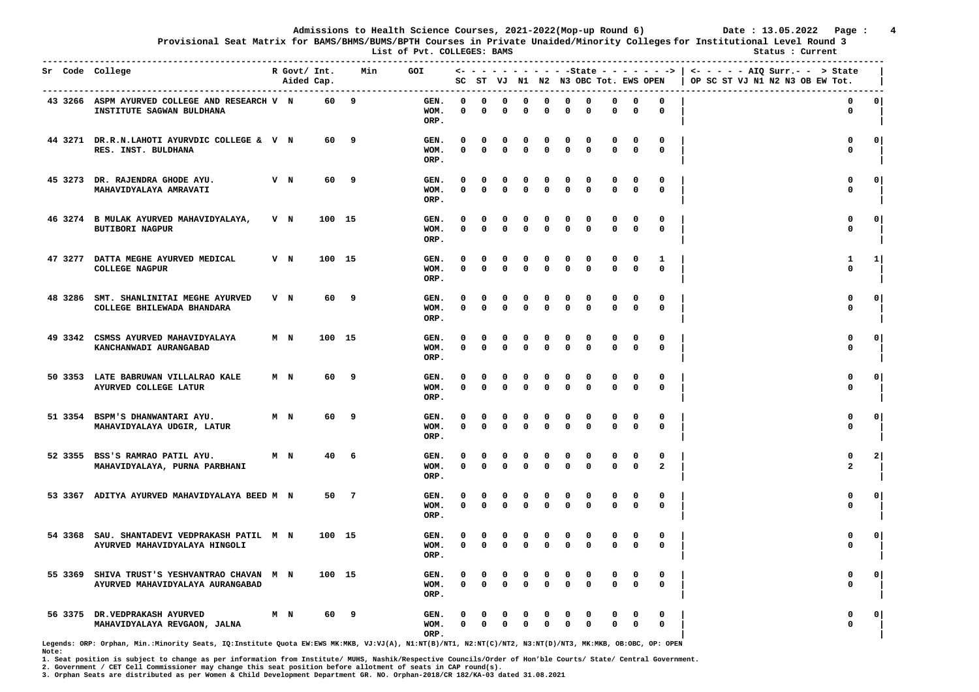**Provisional Seat Matrix for BAMS/BHMS/BUMS/BPTH Courses in Private Unaided/Minority Colleges for Institutional Level Round 3**

 **List of Pvt. COLLEGES: BAMS Status : Current** 

|         | Sr Code College                                                            |       | R Govt/ Int.<br>Aided Cap. |        | Min             | GOI                  |                   |                         |                          |                   |                          |               | SC ST VJ N1 N2 N3 OBC Tot. EWS OPEN |                         |                  |                            | <- - - - - - - - - - - State - - - - - - >   <- - - - - - AIQ Surr.- - > State<br>OP SC ST VJ N1 N2 N3 OB EW Tot. |              |
|---------|----------------------------------------------------------------------------|-------|----------------------------|--------|-----------------|----------------------|-------------------|-------------------------|--------------------------|-------------------|--------------------------|---------------|-------------------------------------|-------------------------|------------------|----------------------------|-------------------------------------------------------------------------------------------------------------------|--------------|
|         | 43 3266 ASPM AYURVED COLLEGE AND RESEARCH V N<br>INSTITUTE SAGWAN BULDHANA |       |                            | 60     | 9               | GEN.<br>WOM.<br>ORP. | $\Omega$<br>0     | $\Omega$<br>0           | $\Omega$<br>0            | $\Omega$<br>0     | $\Omega$<br>$\Omega$     | 0<br>0        | $\Omega$<br>0                       | $\Omega$<br>$\Omega$    | 0<br>0           | $\Omega$<br>0              | $\mathbf 0$<br>0                                                                                                  | $\circ$ l    |
|         | 44 3271 DR.R.N.LAHOTI AYURVDIC COLLEGE & V N<br>RES. INST. BULDHANA        |       |                            | 60     | 9               | GEN.<br>WOM.<br>ORP. | O<br>$\Omega$     | 0<br>$\Omega$           | 0<br>$\mathbf{0}$        | 0<br>$\Omega$     | 0<br>$\mathbf{0}$        | 0<br>0        | 0<br>$\Omega$                       | $\Omega$<br>$\Omega$    | 0<br>$\Omega$    | 0<br>$\mathbf{0}$          | 0<br>$\mathbf{0}$                                                                                                 | $\Omega$     |
|         | 45 3273 DR. RAJENDRA GHODE AYU.<br>MAHAVIDYALAYA AMRAVATI                  | V N   |                            | 60     | 9               | GEN.<br>WOM.<br>ORP. | 0<br>$\Omega$     | 0<br>$\Omega$           | 0<br>0                   | 0<br>0            | 0<br>$\Omega$            | 0<br>0        | 0<br>$\Omega$                       | $\mathbf 0$             | 0<br>0           | 0<br>$\mathbf 0$           | 0<br>$\mathbf 0$                                                                                                  | 0            |
|         | 46 3274 B MULAK AYURVED MAHAVIDYALAYA,<br><b>BUTIBORI NAGPUR</b>           | V N   |                            | 100 15 |                 | GEN.<br>WOM.<br>ORP. | O<br>0            | 0<br>$\mathbf{0}$       | $\Omega$<br>$\Omega$     | 0<br>$\Omega$     | 0<br>$\Omega$            | 0<br>0        | 0<br>$\Omega$                       | 0<br>$\mathbf{0}$       | 0<br>$\mathbf 0$ | 0<br>0                     | 0<br>$\mathbf 0$                                                                                                  | $\mathbf{0}$ |
| 47 3277 | DATTA MEGHE AYURVED MEDICAL<br><b>COLLEGE NAGPUR</b>                       | V N   |                            | 100 15 |                 | GEN.<br>WOM.<br>ORP. | $\Omega$<br>0     | $\Omega$<br>$\mathbf 0$ | $\Omega$<br>$\mathbf 0$  | $\Omega$<br>0     | n<br>$\mathbf 0$         | 0<br>0        | $\Omega$<br>$\mathbf 0$             | $\Omega$<br>$\mathbf 0$ | 0<br>$\mathbf 0$ | 1<br>$\mathbf 0$           | 1<br>$\mathbf 0$                                                                                                  | 1            |
| 48 3286 | SMT. SHANLINITAI MEGHE AYURVED<br>COLLEGE BHILEWADA BHANDARA               | $V$ N |                            | 60     | 9               | GEN.<br>WOM.<br>ORP. | 0<br>0            | 0<br>$\Omega$           | $\Omega$<br>$\mathbf{0}$ | 0<br>$\Omega$     | 0<br>$\mathbf{0}$        | 0<br>0        | 0<br>$\mathbf{0}$                   | 0<br>$\mathbf{0}$       | 0<br>$\Omega$    | 0<br>$\mathbf{0}$          | $\mathbf 0$<br>$\mathbf 0$                                                                                        | $\Omega$     |
|         | 49 3342 CSMSS AYURVED MAHAVIDYALAYA<br>KANCHANWADI AURANGABAD              | M N   |                            | 100 15 |                 | GEN.<br>WOM.<br>ORP. | $\Omega$<br>0     | 0<br>$\Omega$           | 0<br>0                   | 0<br>$\Omega$     | n<br>$\Omega$            | 0<br>0        | $\Omega$<br>0                       | $\Omega$<br>$\mathbf 0$ | 0<br>0           | 0<br>$\mathbf 0$           | 0<br>$\mathbf 0$                                                                                                  | $\circ$      |
|         | 50 3353 LATE BABRUWAN VILLALRAO KALE<br>AYURVED COLLEGE LATUR              | M N   |                            | 60     | 9               | GEN.<br>WOM.<br>ORP. | <sup>0</sup><br>0 | $\Omega$<br>0           | $\Omega$<br>0            | $\mathbf{o}$<br>0 | $\Omega$<br>$\Omega$     | 0<br>0        | $\Omega$<br>0                       | 0<br>$\mathbf{0}$       | 0<br>$\mathbf 0$ | 0<br>$\mathbf 0$           | $\mathbf 0$<br>$\mathbf 0$                                                                                        | $\circ$      |
|         | 51 3354 BSPM'S DHANWANTARI AYU.<br>MAHAVIDYALAYA UDGIR, LATUR              | M N   |                            | 60     | 9               | GEN.<br>WOM.<br>ORP. | O<br>0            | 0<br>$\mathbf 0$        | 0<br>0                   | $\Omega$<br>0     | $\Omega$<br>$\Omega$     | 0<br>0        | $\Omega$<br>0                       | $\Omega$<br>$\Omega$    | 0<br>$\mathbf 0$ | 0<br>$\mathbf 0$           | $\Omega$<br>$\mathbf 0$                                                                                           | $\mathbf{0}$ |
|         | 52 3355 BSS'S RAMRAO PATIL AYU.<br>MAHAVIDYALAYA, PURNA PARBHANI           | M N   |                            | 40     | 6               | GEN.<br>WOM.<br>ORP. | 0<br>0            | 0<br>$\Omega$           | 0<br>$\Omega$            | 0<br>0            | 0<br>$\Omega$            | 0<br>0        | 0<br>$\Omega$                       | 0<br>$\Omega$           | 0<br>0           | 0<br>$\overline{a}$        | 0<br>$\overline{a}$                                                                                               | $\mathbf{2}$ |
|         | 53 3367 ADITYA AYURVED MAHAVIDYALAYA BEED M N                              |       |                            | 50     | $7\phantom{.0}$ | GEN.<br>WOM.<br>ORP. | $\Omega$<br>0     | 0<br>$\mathbf 0$        | $\Omega$<br>$\Omega$     | 0<br>0            | 0<br>$\Omega$            | $\Omega$<br>0 | 0<br>0                              | 0<br>$\mathbf 0$        | 0<br>0           | $\mathbf 0$<br>$\mathbf 0$ | $\mathbf 0$<br>$\mathbf 0$                                                                                        | 0            |
| 54 3368 | SAU. SHANTADEVI VEDPRAKASH PATIL M N<br>AYURVED MAHAVIDYALAYA HINGOLI      |       |                            | 100 15 |                 | GEN.<br>WOM.<br>ORP. | 0<br>0            | 0<br>$\mathbf{0}$       | 0<br>$\Omega$            | 0<br>0            | $\Omega$<br>$\Omega$     | 0<br>0        | 0<br>$\Omega$                       | 0<br>$\mathbf{0}$       | 0<br>0           | 0<br>$\mathbf 0$           | 0<br>$\mathbf 0$                                                                                                  | $\mathbf{o}$ |
| 55 3369 | SHIVA TRUST'S YESHVANTRAO CHAVAN M N<br>AYURVED MAHAVIDYALAYA AURANGABAD   |       |                            | 100 15 |                 | GEN.<br>WOM.<br>ORP. | $\Omega$<br>0     | 0<br>$\mathbf 0$        | 0<br>$\mathbf 0$         | 0<br>$\mathbf 0$  | $\Omega$<br>$\mathbf{0}$ | 0<br>0        | $\Omega$<br>$\mathbf{0}$            | $\Omega$<br>$\mathbf 0$ | 0<br>$\mathbf 0$ | 0<br>$\mathbf 0$           | $\mathbf{0}$<br>$\mathbf 0$                                                                                       | $\Omega$     |
| 56 3375 | DR. VEDPRAKASH AYURVED<br>MAHAVIDYALAYA REVGAON, JALNA                     | M N   |                            | 60     | 9               | GEN.<br>WOM.<br>ORP. | 0                 | $\Omega$                | 0                        | $\Omega$          | $\Omega$                 | 0<br>0        | 0<br>$\Omega$                       | $\Omega$                | 0<br>0           | 0<br>$\mathbf 0$           | $\Omega$                                                                                                          | 0            |

**Legends: ORP: Orphan, Min.:Minority Seats, IQ:Institute Quota EW:EWS MK:MKB, VJ:VJ(A), N1:NT(B)/NT1, N2:NT(C)/NT2, N3:NT(D)/NT3, MK:MKB, OB:OBC, OP: OPEN Note:** 

**1. Seat position is subject to change as per information from Institute/ MUHS, Nashik/Respective Councils/Order of Hon'ble Courts/ State/ Central Government.** 

**2. Government / CET Cell Commissioner may change this seat position before allotment of seats in CAP round(s).**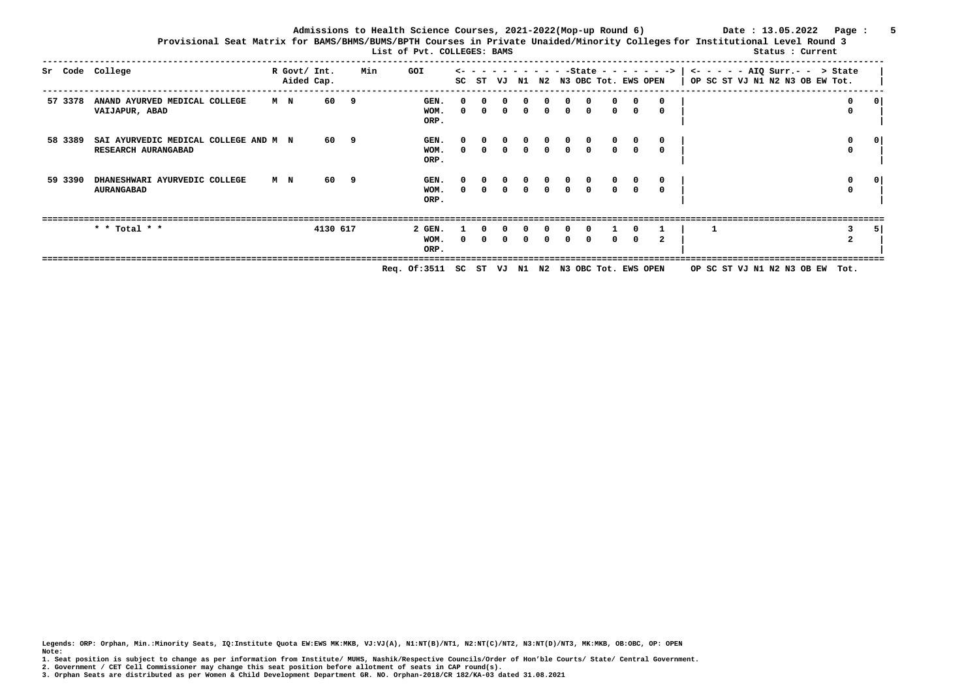**Admissions to Health Science Courses, 2021-2022(Mop-up Round 6) Date : 13.05.2022 Page : 5 Provisional Seat Matrix for BAMS/BHMS/BUMS/BPTH Courses in Private Unaided/Minority Colleges for Institutional Level Round 3**

| List of Pvt. COLLEGES: BAMS |                                                              |                |                            |          |     |                        |                          |          |              |              |          |                                                  |          | Status : Current |          |                 |                                                                              |                        |                |
|-----------------------------|--------------------------------------------------------------|----------------|----------------------------|----------|-----|------------------------|--------------------------|----------|--------------|--------------|----------|--------------------------------------------------|----------|------------------|----------|-----------------|------------------------------------------------------------------------------|------------------------|----------------|
|                             | Sr Code College                                              |                | R Govt/ Int.<br>Aided Cap. |          | Min | GOI                    | SC                       | ST       | VJ           | N1           | N2       | $\overline{\phantom{0}}$<br>N3 OBC Tot. EWS OPEN | -State   |                  |          | $- - - > 1$     | $\leftarrow$ - - - - AIQ Surr.- - > State<br>OP SC ST VJ N1 N2 N3 OB EW Tot. |                        |                |
| 57 3378                     | ANAND AYURVED MEDICAL COLLEGE<br>VAIJAPUR, ABAD              | M N            |                            | 60       | - 9 | GEN.<br>WOM.<br>ORP.   | <sup>n</sup><br>$\Omega$ | $\Omega$ | <sup>n</sup> | <sup>0</sup> | $\Omega$ | $\Omega$                                         | $\Omega$ | $\Omega$         |          | $\Omega$<br>- 0 |                                                                              | $^{\circ}$<br>$\Omega$ | 0              |
| 58 3389                     | SAI AYURVEDIC MEDICAL COLLEGE AND M N<br>RESEARCH AURANGABAD |                |                            | 60 9     |     | GEN.<br>WOM.<br>ORP.   | $\Omega$                 | $\Omega$ |              | <sup>n</sup> | $\Omega$ |                                                  | $\Omega$ |                  |          | 0<br>- 0        |                                                                              | 0<br>0                 | 0              |
| 59 3390                     | DHANESHWARI AYURVEDIC COLLEGE<br><b>AURANGABAD</b>           | M <sub>N</sub> |                            | 60 9     |     | GEN.<br>WOM.<br>ORP.   | $\Omega$                 | $\Omega$ | $\Omega$     | $\Omega$     | $\Omega$ | $\Omega$                                         | $\Omega$ | $\Omega$         | $\Omega$ | $^{\circ}$      |                                                                              | 0<br>$\Omega$          | 0 <sup>1</sup> |
|                             | * * Total * *                                                |                |                            | 4130 617 |     | 2 GEN.<br>WOM.<br>ORP. |                          |          |              |              |          |                                                  |          |                  | O.       |                 |                                                                              | $\mathbf{2}$           | -51            |

 **Req. Of:3511 SC ST VJ N1 N2 N3 OBC Tot. EWS OPEN OP SC ST VJ N1 N2 N3 OB EW Tot.** 

**Legends: ORP: Orphan, Min.:Minority Seats, IQ:Institute Quota EW:EWS MK:MKB, VJ:VJ(A), N1:NT(B)/NT1, N2:NT(C)/NT2, N3:NT(D)/NT3, MK:MKB, OB:OBC, OP: OPEN Note:** 

**1. Seat position is subject to change as per information from Institute/ MUHS, Nashik/Respective Councils/Order of Hon'ble Courts/ State/ Central Government.** 

**2. Government / CET Cell Commissioner may change this seat position before allotment of seats in CAP round(s).**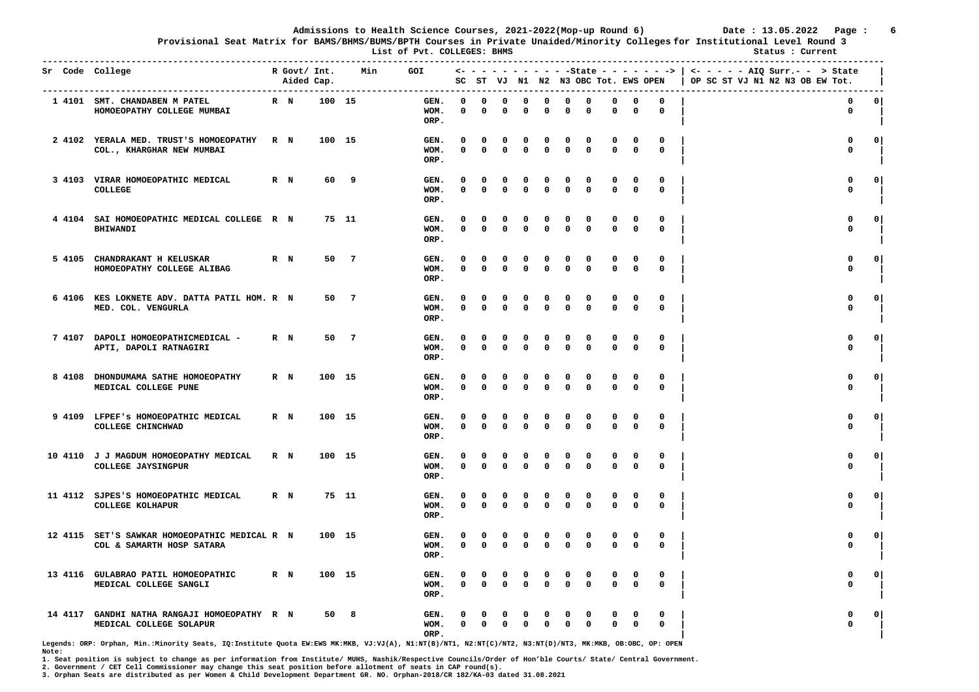**Provisional Seat Matrix for BAMS/BHMS/BUMS/BPTH Courses in Private Unaided/Minority Colleges for Institutional Level Round 3**

 **List of Pvt. COLLEGES: BHMS Status : Current** 

|         | Sr Code College                                                            |       | R Govt/ Int.<br>Aided Cap. |        | Min            | <b>GOI</b>           |                   |                   |                          |                   |                         |               | SC ST VJ N1 N2 N3 OBC Tot. EWS OPEN |                         |                             |                   | <- - - - - - - - - - - State - - - - - - ->   <- - - - - AIQ Surr.- - -> State<br>OP SC ST VJ N1 N2 N3 OB EW Tot. |              |
|---------|----------------------------------------------------------------------------|-------|----------------------------|--------|----------------|----------------------|-------------------|-------------------|--------------------------|-------------------|-------------------------|---------------|-------------------------------------|-------------------------|-----------------------------|-------------------|-------------------------------------------------------------------------------------------------------------------|--------------|
|         | 1 4101 SMT. CHANDABEN M PATEL<br>HOMOEOPATHY COLLEGE MUMBAI                | R N   |                            | 100 15 |                | GEN.<br>WOM.<br>ORP. | $\Omega$<br>0     | $\Omega$<br>0     | $\Omega$<br>0            | $\Omega$<br>0     | $\Omega$<br>$\Omega$    | 0<br>0        | $\Omega$<br>0                       | $\Omega$<br>0           | 0<br>0                      | $\Omega$<br>0     | $\mathbf 0$<br>0                                                                                                  | 0            |
|         | 2 4102 YERALA MED. TRUST'S HOMOEOPATHY<br>COL., KHARGHAR NEW MUMBAI        | R N   |                            | 100 15 |                | GEN.<br>WOM.<br>ORP. | O<br>$\Omega$     | 0<br>$\Omega$     | 0<br>$\mathbf{0}$        | 0<br>$\Omega$     | 0<br>$\mathbf{0}$       | 0<br>0        | 0<br>$\Omega$                       | 0<br>$\Omega$           | 0<br>$\mathbf 0$            | 0<br>$\mathbf{0}$ | 0<br>$\mathbf 0$                                                                                                  | $\Omega$     |
|         | 3 4103 VIRAR HOMOEOPATHIC MEDICAL<br>COLLEGE                               | R N   |                            | 60     | 9              | GEN.<br>WOM.<br>ORP. | 0<br>$\Omega$     | 0<br>$\Omega$     | 0<br>0                   | 0<br>0            | 0<br>$\mathbf 0$        | 0<br>0        | 0<br>$\Omega$                       | $\mathbf 0$             | 0<br>0                      | 0<br>$\mathbf 0$  | 0<br>$\mathbf 0$                                                                                                  | 0            |
|         | 4 4104 SAI HOMOEOPATHIC MEDICAL COLLEGE R N<br><b>BHIWANDI</b>             |       |                            | 75 11  |                | GEN.<br>WOM.<br>ORP. | O<br>0            | 0<br>$\Omega$     | $\Omega$<br>$\Omega$     | 0<br>$\Omega$     | 0<br>$\Omega$           | 0<br>0        | 0<br>$\Omega$                       | 0<br>$\mathbf 0$        | 0<br>$\mathbf 0$            | 0<br>0            | 0<br>$\mathbf 0$                                                                                                  | $^{\circ}$   |
|         | 5 4105 CHANDRAKANT H KELUSKAR<br>HOMOEOPATHY COLLEGE ALIBAG                | R N   |                            | 50     | $\overline{7}$ | GEN.<br>WOM.<br>ORP. | $\Omega$<br>0     | 0<br>$\mathbf 0$  | 0<br>$\mathbf 0$         | 0<br>$\mathbf 0$  | $\Omega$<br>$\mathbf 0$ | 0<br>0        | $\Omega$<br>$\mathbf 0$             | $\Omega$<br>$\mathbf 0$ | 0<br>$\mathbf 0$            | 0<br>$\mathbf 0$  | 0<br>$\mathbf 0$                                                                                                  | 0            |
| 6 4106  | KES LOKNETE ADV. DATTA PATIL HOM. R N<br>MED. COL. VENGURLA                |       |                            | 50     | $\overline{7}$ | GEN.<br>WOM.<br>ORP. | 0<br>$\Omega$     | 0<br>$\Omega$     | $\Omega$<br>$\mathbf{0}$ | 0<br>$\Omega$     | 0<br>$\Omega$           | 0<br>$\Omega$ | 0<br>$\mathbf{0}$                   | 0<br>$\mathbf{0}$       | $\mathbf 0$<br>$\mathbf{0}$ | 0<br>$^{\circ}$   | $\mathbf 0$<br>$\mathbf{0}$                                                                                       | $\mathbf 0$  |
|         | 7 4107 DAPOLI HOMOEOPATHICMEDICAL -<br>APTI, DAPOLI RATNAGIRI              | $R$ N |                            | 50     | $\overline{7}$ | GEN.<br>WOM.<br>ORP. | $\Omega$<br>0     | 0<br>$\Omega$     | 0<br>$\Omega$            | 0<br>$\Omega$     | $\Omega$<br>$\Omega$    | 0<br>0        | 0<br>$\Omega$                       | $\Omega$<br>$\mathbf 0$ | 0<br>0                      | 0<br>$\mathbf 0$  | $\mathbf 0$<br>$\mathbf 0$                                                                                        | 0            |
|         | 8 4108 DHONDUMAMA SATHE HOMOEOPATHY<br>MEDICAL COLLEGE PUNE                | $R$ N |                            | 100 15 |                | GEN.<br>WOM.<br>ORP. | <sup>0</sup><br>0 | $^{\circ}$<br>0   | $\Omega$<br>$\mathbf 0$  | $\mathbf{o}$<br>0 | $\Omega$<br>0           | 0<br>0        | 0<br>0                              | 0<br>$\mathbf{0}$       | 0<br>$\mathbf 0$            | 0<br>$\mathbf 0$  | $\mathbf 0$<br>$\mathbf 0$                                                                                        | $\circ$      |
|         | 9 4109 LFPEF'S HOMOEOPATHIC MEDICAL<br>COLLEGE CHINCHWAD                   | $R$ N |                            | 100 15 |                | GEN.<br>WOM.<br>ORP. | O<br>0            | 0<br>$\mathbf 0$  | 0<br>$\Omega$            | 0<br>$\Omega$     | $\Omega$<br>$\Omega$    | 0<br>0        | $\Omega$<br>$\Omega$                | $\Omega$<br>$\mathbf 0$ | 0<br>$\mathbf 0$            | 0<br>$\mathbf 0$  | $\Omega$<br>$\mathbf 0$                                                                                           | 0            |
|         | 10 4110 J J MAGDUM HOMOEOPATHY MEDICAL<br>COLLEGE JAYSINGPUR               | $R$ N |                            | 100 15 |                | GEN.<br>WOM.<br>ORP. | 0<br>0            | 0<br>$\mathbf{0}$ | 0<br>$\Omega$            | 0<br>0            | 0<br>$\Omega$           | 0<br>0        | 0<br>$\Omega$                       | 0<br>$\Omega$           | 0<br>$\mathbf 0$            | 0<br>$\mathbf{0}$ | 0<br>$\mathbf 0$                                                                                                  | $\mathbf 0$  |
|         | 11 4112 SJPES'S HOMOEOPATHIC MEDICAL<br><b>COLLEGE KOLHAPUR</b>            | $R$ N |                            |        | 75 11          | GEN.<br>WOM.<br>ORP. | $\Omega$<br>0     | 0<br>$\mathbf 0$  | $\Omega$<br>0            | 0<br>0            | 0<br>$\Omega$           | $\Omega$<br>0 | 0<br>0                              | 0<br>$\mathbf 0$        | 0<br>0                      | $\mathbf 0$<br>0  | $\mathbf 0$<br>$\mathbf 0$                                                                                        | $\circ$      |
|         | 12 4115 SET'S SAWKAR HOMOEOPATHIC MEDICAL R N<br>COL & SAMARTH HOSP SATARA |       |                            | 100 15 |                | GEN.<br>WOM.<br>ORP. | 0<br>0            | 0<br>$\mathbf{0}$ | 0<br>$\Omega$            | 0<br>0            | $\Omega$<br>$\Omega$    | 0<br>0        | 0<br>$\mathbf{0}$                   | 0<br>$\mathbf 0$        | 0<br>$\mathbf 0$            | 0<br>$\mathbf 0$  | 0<br>$\mathbf 0$                                                                                                  | 0            |
| 13 4116 | GULABRAO PATIL HOMOEOPATHIC<br>MEDICAL COLLEGE SANGLI                      | $R$ N |                            | 100 15 |                | GEN.<br>WOM.<br>ORP. | $\Omega$<br>0     | 0<br>$\mathbf 0$  | 0<br>$\mathbf 0$         | 0<br>$\mathbf 0$  | $\Omega$<br>$\mathbf 0$ | 0<br>0        | 0<br>$\mathbf 0$                    | $\Omega$<br>$\mathbf 0$ | 0<br>$\mathbf 0$            | 0<br>$\mathbf 0$  | $\mathbf 0$<br>$\mathbf 0$                                                                                        | $\mathbf{0}$ |
| 14 4117 | GANDHI NATHA RANGAJI HOMOEOPATHY R N<br>MEDICAL COLLEGE SOLAPUR            |       |                            | 50     | 8              | GEN.<br>WOM.<br>ORP. | 0                 | $\Omega$          | $\mathbf{0}$             | $\Omega$          | $\Omega$                | 0<br>$\Omega$ | 0<br>$\Omega$                       | $\Omega$                | 0<br>0                      | 0<br>$\mathbf 0$  | $\Omega$<br>$\Omega$                                                                                              | 0            |

**Legends: ORP: Orphan, Min.:Minority Seats, IQ:Institute Quota EW:EWS MK:MKB, VJ:VJ(A), N1:NT(B)/NT1, N2:NT(C)/NT2, N3:NT(D)/NT3, MK:MKB, OB:OBC, OP: OPEN Note:** 

**1. Seat position is subject to change as per information from Institute/ MUHS, Nashik/Respective Councils/Order of Hon'ble Courts/ State/ Central Government.** 

**2. Government / CET Cell Commissioner may change this seat position before allotment of seats in CAP round(s).**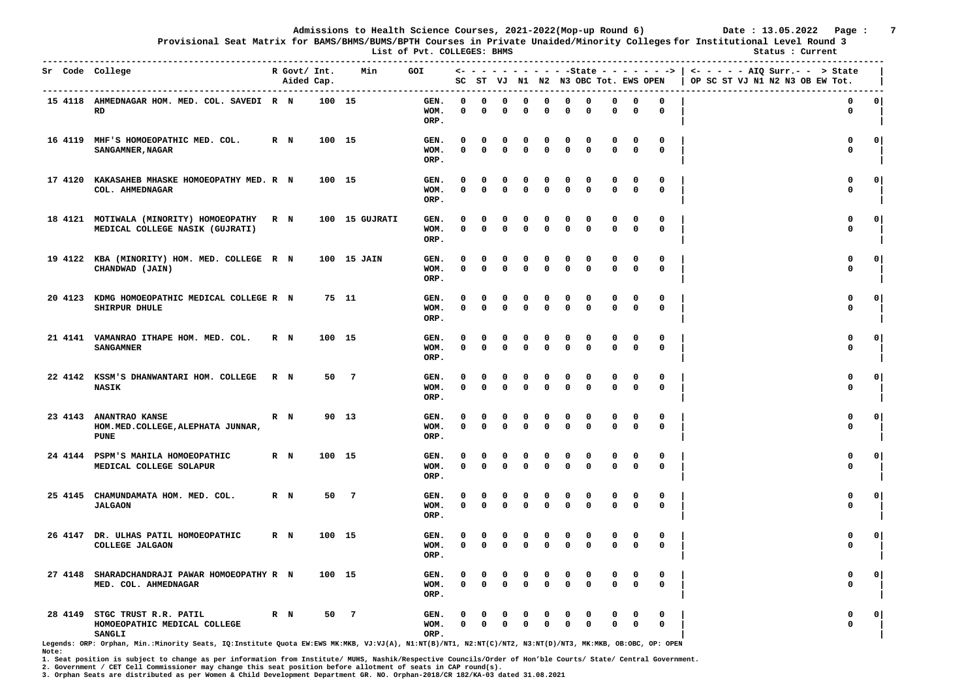**Provisional Seat Matrix for BAMS/BHMS/BUMS/BPTH Courses in Private Unaided/Minority Colleges for Institutional Level Round 3**

 **List of Pvt. COLLEGES: BHMS Status : Current** 

| Sr Code College |                                                                            |         | R Govt/ Int.<br>Aided Cap. |        | Min            | <b>GOI</b>           |                          |                   |                          |                         |                          |               | SC ST VJ N1 N2 N3 OBC Tot. EWS OPEN |                         |                  |                            | <- - - - - - - - - - - State - - - - - - >   <- - - - - - AIQ Surr.- - > State<br>OP SC ST VJ N1 N2 N3 OB EW Tot. |                |
|-----------------|----------------------------------------------------------------------------|---------|----------------------------|--------|----------------|----------------------|--------------------------|-------------------|--------------------------|-------------------------|--------------------------|---------------|-------------------------------------|-------------------------|------------------|----------------------------|-------------------------------------------------------------------------------------------------------------------|----------------|
|                 | 15 4118 AHMEDNAGAR HOM. MED. COL. SAVEDI R N<br>RD                         |         |                            | 100 15 |                | GEN.<br>WOM.<br>ORP. | $\Omega$<br>0            | $\Omega$<br>0     | $\Omega$<br>0            | $\Omega$<br>0           | $\Omega$<br>$\Omega$     | 0<br>0        | $\Omega$<br>0                       | $\Omega$<br>0           | 0<br>0           | $\Omega$<br>0              | $\mathbf 0$<br>0                                                                                                  | 0 <sup>1</sup> |
|                 | 16 4119 MHF'S HOMOEOPATHIC MED. COL.<br><b>SANGAMNER, NAGAR</b>            | R N     |                            | 100 15 |                | GEN.<br>WOM.<br>ORP. | O<br>$\Omega$            | 0<br>$\Omega$     | 0<br>$\mathbf{0}$        | 0<br>0                  | 0<br>$\mathbf{0}$        | 0<br>0        | 0<br>$\Omega$                       | 0<br>$\Omega$           | 0<br>$\Omega$    | 0<br>$\mathbf{0}$          | 0<br>$\mathbf 0$                                                                                                  | $\Omega$       |
| 17 4120         | KAKASAHEB MHASKE HOMOEOPATHY MED. R N<br>COL. AHMEDNAGAR                   |         |                            | 100 15 |                | GEN.<br>WOM.<br>ORP. | 0<br>0                   | 0<br>$\Omega$     | 0<br>0                   | 0<br>0                  | $\Omega$                 | 0<br>0        | 0<br>$\Omega$                       | $\mathbf 0$             | 0<br>0           | 0<br>$\mathbf 0$           | 0<br>$\mathbf 0$                                                                                                  | $\mathbf{o}$   |
|                 | 18 4121 MOTIWALA (MINORITY) HOMOEOPATHY<br>MEDICAL COLLEGE NASIK (GUJRATI) | R N     |                            |        | 100 15 GUJRATI | GEN.<br>WOM.<br>ORP. | O<br>0                   | 0<br>$\mathbf{0}$ | $\Omega$<br>$\Omega$     | 0<br>0                  | 0<br>$\Omega$            | 0<br>0        | 0<br>$\Omega$                       | 0<br>$\mathbf{0}$       | 0<br>$\mathbf 0$ | 0<br>0                     | 0<br>$\mathbf 0$                                                                                                  | $\mathbf{0}$   |
|                 | 19 4122 KBA (MINORITY) HOM. MED. COLLEGE R N<br>CHANDWAD (JAIN)            |         |                            |        | 100 15 JAIN    | GEN.<br>WOM.<br>ORP. | $\Omega$<br>0            | 0<br>$\mathbf 0$  | 0<br>$\mathbf 0$         | $\Omega$<br>$\mathbf 0$ | n<br>$\mathbf 0$         | 0<br>0        | $\Omega$<br>$\mathbf 0$             | $\Omega$<br>$\mathbf 0$ | 0<br>$\mathbf 0$ | 0<br>$\mathbf 0$           | 0<br>$\mathbf 0$                                                                                                  | 0              |
| 20 4123         | KDMG HOMOEOPATHIC MEDICAL COLLEGE R N<br>SHIRPUR DHULE                     |         |                            | 75 11  |                | GEN.<br>WOM.<br>ORP. | 0<br>0                   | 0<br>$\Omega$     | $\Omega$<br>$\mathbf{0}$ | 0<br>$\Omega$           | 0<br>$\mathbf{0}$        | 0<br>0        | 0<br>$\mathbf{0}$                   | 0<br>$\mathbf{0}$       | 0<br>$\Omega$    | 0<br>$\mathbf 0$           | $\mathbf 0$<br>$\mathbf{0}$                                                                                       | $\Omega$       |
|                 | 21 4141 VAMANRAO ITHAPE HOM. MED. COL.<br><b>SANGAMNER</b>                 | $R$ N   |                            | 100 15 |                | GEN.<br>WOM.<br>ORP. | $\Omega$<br>0            | 0<br>$\Omega$     | 0<br>0                   | 0<br>$\Omega$           | n<br>$\Omega$            | 0<br>0        | 0<br>0                              | $\Omega$<br>$\mathbf 0$ | 0<br>0           | 0<br>$\mathbf 0$           | 0<br>$\mathbf 0$                                                                                                  | 0              |
|                 | 22 4142 KSSM'S DHANWANTARI HOM. COLLEGE<br><b>NASIK</b>                    | R N     |                            | 50     | $\overline{7}$ | GEN.<br>WOM.<br>ORP. | <sup>0</sup><br>0        | $\Omega$<br>0     | $\Omega$<br>$\mathbf 0$  | 0<br>0                  | $\Omega$<br>$\Omega$     | 0<br>0        | $\Omega$<br>0                       | 0<br>$\mathbf 0$        | 0<br>$\mathbf 0$ | 0<br>$\mathbf 0$           | $\mathbf 0$<br>$\mathbf 0$                                                                                        | $\circ$        |
| 23 4143         | <b>ANANTRAO KANSE</b><br>HOM. MED. COLLEGE, ALEPHATA JUNNAR,<br>PUNE       | $R$ N   |                            | 90 13  |                | GEN.<br>WOM.<br>ORP. | O<br>0                   | 0<br>$\mathbf 0$  | 0<br>0                   | 0<br>0                  | $\Omega$<br>$\Omega$     | 0<br>0        | $\Omega$<br>0                       | $\Omega$<br>$\Omega$    | 0<br>$\mathbf 0$ | 0<br>$\mathbf 0$           | $\Omega$<br>$\mathbf 0$                                                                                           | 0              |
|                 | 24 4144 PSPM'S MAHILA HOMOEOPATHIC<br>MEDICAL COLLEGE SOLAPUR              | $R$ N   |                            | 100 15 |                | GEN.<br>WOM.<br>ORP. | 0<br>0                   | 0<br>$\Omega$     | 0<br>$\Omega$            | 0<br>0                  | 0<br>$\Omega$            | 0<br>0        | 0<br>$\Omega$                       | 0<br>$\Omega$           | 0<br>$\mathbf 0$ | 0<br>$\mathbf 0$           | 0<br>$\mathbf{0}$                                                                                                 | $\mathbf 0$    |
| 25 4145         | CHAMUNDAMATA HOM. MED. COL.<br><b>JALGAON</b>                              | $R$ $N$ |                            | 50     | $\overline{7}$ | GEN.<br>WOM.<br>ORP. | $\Omega$<br>0            | 0<br>$\mathbf 0$  | $\Omega$<br>0            | 0<br>0                  | 0<br>$\Omega$            | $\Omega$<br>0 | 0<br>0                              | 0<br>$\mathbf 0$        | 0<br>0           | $\mathbf 0$<br>$\mathbf 0$ | $\mathbf 0$<br>$\mathbf 0$                                                                                        | $\circ$        |
| 26 4147         | DR. ULHAS PATIL HOMOEOPATHIC<br>COLLEGE JALGAON                            | R N     |                            | 100 15 |                | GEN.<br>WOM.<br>ORP. | 0<br>0                   | 0<br>$\mathbf{0}$ | 0<br>$\Omega$            | 0<br>0                  | $\Omega$<br>$\Omega$     | 0<br>0        | 0<br>0                              | 0<br>$\mathbf{0}$       | 0<br>0           | 0<br>$\mathbf 0$           | 0<br>$\mathbf 0$                                                                                                  | $\mathbf{o}$   |
| 27 4148         | SHARADCHANDRAJI PAWAR HOMOEOPATHY R N<br>MED. COL. AHMEDNAGAR              |         |                            | 100 15 |                | GEN.<br>WOM.<br>ORP. | $\Omega$<br>$\mathbf{0}$ | 0<br>$\mathbf 0$  | 0<br>$\mathbf 0$         | 0<br>$\mathbf 0$        | $\Omega$<br>$\mathbf{0}$ | 0<br>0        | 0<br>$\mathbf 0$                    | 0<br>$\mathbf 0$        | 0<br>$\mathbf 0$ | 0<br>$\mathbf 0$           | $\mathbf{0}$<br>$\mathbf 0$                                                                                       | $\mathbf{0}$   |
| 28 4149         | STGC TRUST R.R. PATIL<br>HOMOEOPATHIC MEDICAL COLLEGE<br><b>SANGLI</b>     | $R$ N   |                            | 50     | -7             | GEN.<br>WOM.<br>ORP. | 0                        | $\Omega$          | 0                        | $\Omega$                | $\Omega$                 | 0<br>0        | 0<br>$\Omega$                       | $\Omega$                | 0<br>0           | 0<br>$\mathbf 0$           | O<br>$\Omega$                                                                                                     | 0              |

**Legends: ORP: Orphan, Min.:Minority Seats, IQ:Institute Quota EW:EWS MK:MKB, VJ:VJ(A), N1:NT(B)/NT1, N2:NT(C)/NT2, N3:NT(D)/NT3, MK:MKB, OB:OBC, OP: OPEN Note:** 

**1. Seat position is subject to change as per information from Institute/ MUHS, Nashik/Respective Councils/Order of Hon'ble Courts/ State/ Central Government.** 

**2. Government / CET Cell Commissioner may change this seat position before allotment of seats in CAP round(s).**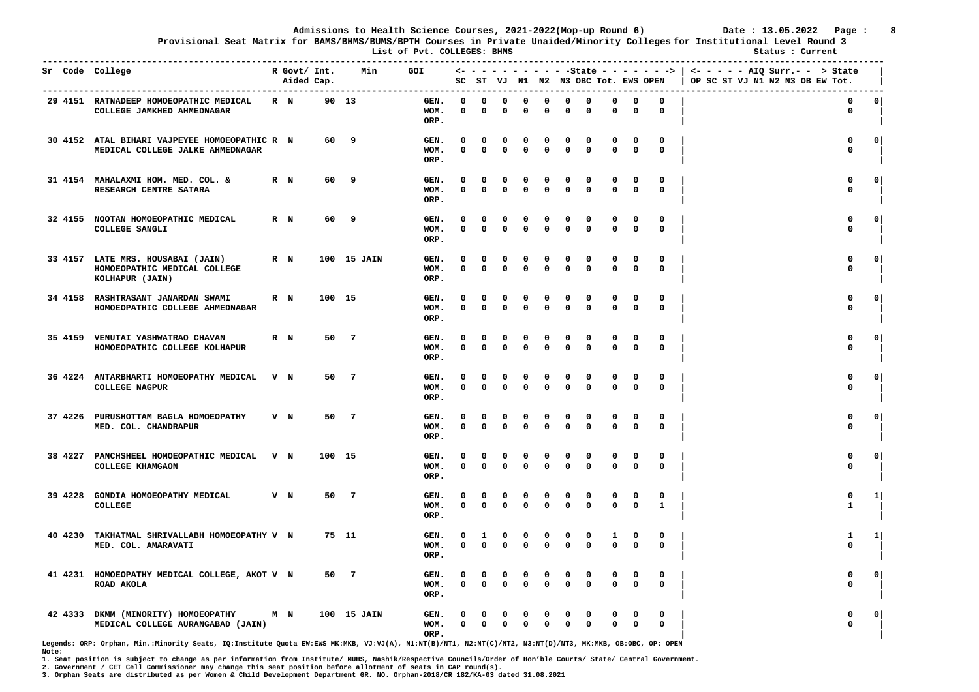**Provisional Seat Matrix for BAMS/BHMS/BUMS/BPTH Courses in Private Unaided/Minority Colleges for Institutional Level Round 3**

 **List of Pvt. COLLEGES: BHMS Status : Current -----------------------------------------------------------------------------------------------------------------------------------------------------------------** 

|         | Sr Code College<br>---------------------                                             |         | R Govt/ Int.<br>Aided Cap. |        | Min            | ------------------------ | GOI                  |                      |                          |                   |                  |                         |                   |                  |                   |                   |                             | $\leftarrow$ - - - - - - - - - -State - - - - - - - >   <- - - - - AIQ Surr.- - > State<br>SC ST VJ N1 N2 N3 OBC Tot. EWS OPEN   OP SC ST VJ N1 N2 N3 OB EW Tot.<br>$- - - - -$ |              |
|---------|--------------------------------------------------------------------------------------|---------|----------------------------|--------|----------------|--------------------------|----------------------|----------------------|--------------------------|-------------------|------------------|-------------------------|-------------------|------------------|-------------------|-------------------|-----------------------------|---------------------------------------------------------------------------------------------------------------------------------------------------------------------------------|--------------|
|         | 29 4151 RATNADEEP HOMOEOPATHIC MEDICAL<br>COLLEGE JAMKHED AHMEDNAGAR                 | R N     |                            | 90 13  |                |                          | GEN.<br>WOM.<br>ORP. | 0<br>0               | 0<br>$\mathbf 0$         | $\mathbf 0$<br>0  | 0<br>0           | 0<br>$\mathbf 0$        | 0<br>0            | 0<br>0           | 0<br>$\mathbf 0$  | 0<br>0            | 0<br>$\mathbf 0$            | $\mathbf 0$<br>0                                                                                                                                                                | 0            |
|         | 30 4152 ATAL BIHARI VAJPEYEE HOMOEOPATHIC R N<br>MEDICAL COLLEGE JALKE AHMEDNAGAR    |         |                            | 60     | - 9            |                          | GEN.<br>WOM.<br>ORP. | $\Omega$<br>$\Omega$ | 0<br>$\mathbf{0}$        | 0<br>0            | 0<br>0           | 0<br>$\mathbf 0$        | 0<br>0            | 0<br>$\mathbf 0$ | 0<br>$\Omega$     | 0<br>$\mathbf 0$  | 0<br>$\mathbf{0}$           | 0<br>$\mathbf{0}$                                                                                                                                                               | $\circ$      |
|         | 31 4154 MAHALAXMI HOM. MED. COL. &<br>RESEARCH CENTRE SATARA                         | R N     |                            | 60     | 9              |                          | GEN.<br>WOM.<br>ORP. | O<br>$\Omega$        | 0<br>$\Omega$            | 0<br>0            | 0<br>0           | 0<br>0                  | 0<br>0            | O<br>$\Omega$    | 0<br>$\mathbf{0}$ | 0<br>0            | $\Omega$<br>$\mathbf{0}$    | 0<br>$\mathbf{0}$                                                                                                                                                               | $\circ$      |
|         | 32 4155 NOOTAN HOMOEOPATHIC MEDICAL<br>COLLEGE SANGLI                                | R N     |                            | 60     | 9              |                          | GEN.<br>WOM.<br>ORP. | 0<br>$\Omega$        | 0<br>$\Omega$            | $\mathbf 0$<br>0  | 0<br>0           | 0<br>$\Omega$           | 0<br>$\mathbf{0}$ | O<br>$\Omega$    | 0<br>$\Omega$     | 0<br>$\mathbf 0$  | 0<br>$\mathbf 0$            | $\mathbf 0$<br>$\mathbf 0$                                                                                                                                                      | $\Omega$     |
|         | 33 4157 LATE MRS. HOUSABAI (JAIN)<br>HOMOEOPATHIC MEDICAL COLLEGE<br>KOLHAPUR (JAIN) | $R$ $N$ |                            |        | 100 15 JAIN    |                          | GEN.<br>WOM.<br>ORP. | 0<br>$\Omega$        | 0<br>$\Omega$            | 0<br>0            | 0<br>$\Omega$    | 0<br>$\Omega$           | 0<br>0            | o<br>$\Omega$    | 0<br>$\mathbf 0$  | 0<br>0            | 0<br>$\mathbf 0$            | 0<br>$\mathbf 0$                                                                                                                                                                | $\mathbf{o}$ |
| 34 4158 | <b>RASHTRASANT JANARDAN SWAMI</b><br>HOMOEOPATHIC COLLEGE AHMEDNAGAR                 | R N     |                            | 100    | 15             |                          | GEN.<br>WOM.<br>ORP. | 0<br>0               | 0<br>0                   | 0<br>$\mathbf 0$  | 0<br>0           | 0<br>0                  | 0<br>0            | 0<br>0           | 0<br>$\mathbf 0$  | 0<br>0            | 0<br>0                      | 0<br>0                                                                                                                                                                          | 0            |
|         | 35 4159 VENUTAI YASHWATRAO CHAVAN<br>HOMOEOPATHIC COLLEGE KOLHAPUR                   | R N     |                            | 50     | $\overline{7}$ |                          | GEN.<br>WOM.<br>ORP. | 0<br>$\mathbf{0}$    | 0<br>$\mathbf{0}$        | 0<br>$\mathbf{0}$ | 0<br>$\mathbf 0$ | 0<br>$\mathbf{0}$       | 0<br>$\mathbf 0$  | 0<br>$\Omega$    | 0<br>$\Omega$     | 0<br>$\mathbf 0$  | 0<br>$\mathbf{0}$           | 0<br>$\mathbf 0$                                                                                                                                                                | $\circ$ 1    |
|         | 36 4224 ANTARBHARTI HOMOEOPATHY MEDICAL<br><b>COLLEGE NAGPUR</b>                     | V N     |                            | 50     | - 7            |                          | GEN.<br>WOM.<br>ORP. | 0<br>$\Omega$        | 0<br>$\mathbf{0}$        | 0<br>$\mathbf{0}$ | 0<br>0           | 0<br>$\mathbf 0$        | 0<br>0            | 0<br>$\Omega$    | 0<br>$\mathbf{0}$ | 0<br>0            | $\Omega$<br>$\mathbf{0}$    | 0<br>$\mathbf 0$                                                                                                                                                                | $\circ$      |
|         | 37 4226 PURUSHOTTAM BAGLA HOMOEOPATHY<br>MED. COL. CHANDRAPUR                        | V N     |                            | 50     | $\overline{7}$ |                          | GEN.<br>WOM.<br>ORP. | $\Omega$<br>$\Omega$ | $\Omega$<br>$\mathbf{0}$ | $\Omega$<br>0     | $\Omega$<br>0    | $\Omega$<br>$\mathbf 0$ | 0<br>0            | $\Omega$<br>0    | 0<br>$\Omega$     | $^{\circ}$<br>0   | $\mathbf{0}$<br>$\mathbf 0$ | $\mathbf{0}$<br>$\mathbf 0$                                                                                                                                                     | $\Omega$     |
|         | 38 4227 PANCHSHEEL HOMOEOPATHIC MEDICAL V N<br>COLLEGE KHAMGAON                      |         |                            | 100 15 |                |                          | GEN.<br>WOM.<br>ORP. | $\Omega$<br>$\Omega$ | 0<br>$\mathbf{0}$        | 0<br>$\Omega$     | 0<br>$\mathbf 0$ | 0<br>$\mathbf{0}$       | 0<br>0            | O<br>$\Omega$    | 0<br>$\Omega$     | 0<br>$\mathbf 0$  | 0<br>$\mathbf{0}$           | 0<br>$\mathbf 0$                                                                                                                                                                | $\Omega$     |
| 39 4228 | GONDIA HOMOEOPATHY MEDICAL<br>COLLEGE                                                | V N     |                            | 50     | $\overline{7}$ |                          | GEN.<br>WOM.<br>ORP. | 0<br>0               | 0<br>$\Omega$            | 0<br>0            | 0<br>0           | 0<br>$\Omega$           | 0<br>0            | 0                | 0<br>$\mathbf 0$  | 0<br>0            | 0<br>${\bf 1}$              | 0<br>1                                                                                                                                                                          | 1            |
| 40 4230 | TAKHATMAL SHRIVALLABH HOMOEOPATHY V N<br>MED. COL. AMARAVATI                         |         |                            | 75 11  |                |                          | GEN.<br>WOM.<br>ORP. | 0<br>0               | 1<br>$\mathbf{0}$        | 0<br>0            | 0<br>0           | 0<br>$\mathbf{0}$       | 0<br>0            | 0<br>$\Omega$    | 1<br>$\Omega$     | 0<br>0            | 0<br>$\mathbf 0$            | 1<br>$\mathbf 0$                                                                                                                                                                | 1            |
|         | 41 4231 HOMOEOPATHY MEDICAL COLLEGE, AKOT V N<br>ROAD AKOLA                          |         |                            | 50     | $\overline{7}$ |                          | GEN.<br>WOM.<br>ORP. | 0<br>$\mathbf{0}$    | 0<br>$\mathbf{0}$        | 0<br>$\mathbf 0$  | 0<br>$\mathbf 0$ | 0<br>$\Omega$           | 0<br>$\mathbf{0}$ | 0<br>$\Omega$    | 0<br>$\Omega$     | 0<br>$\mathbf{0}$ | $\Omega$<br>$\mathbf 0$     | 0<br>$\mathbf 0$                                                                                                                                                                | $\circ$      |
| 42 4333 | DKMM (MINORITY) HOMOEOPATHY<br>MEDICAL COLLEGE AURANGABAD (JAIN)                     | M N     |                            |        | 100 15 JAIN    |                          | GEN.<br>WOM.<br>ORP. | O<br>$^{\circ}$      | $\mathbf 0$              | 0<br>$\Omega$     | 0<br>$\mathbf 0$ | 0<br>$\mathbf 0$        | 0<br>0            | 0<br>$\Omega$    | 0<br>$\Omega$     | 0<br>$\mathbf{0}$ | 0<br>$\mathbf{0}$           | $\Omega$<br>$\mathbf{0}$                                                                                                                                                        | 0            |

**Legends: ORP: Orphan, Min.:Minority Seats, IQ:Institute Quota EW:EWS MK:MKB, VJ:VJ(A), N1:NT(B)/NT1, N2:NT(C)/NT2, N3:NT(D)/NT3, MK:MKB, OB:OBC, OP: OPEN Note:** 

**1. Seat position is subject to change as per information from Institute/ MUHS, Nashik/Respective Councils/Order of Hon'ble Courts/ State/ Central Government.** 

**2. Government / CET Cell Commissioner may change this seat position before allotment of seats in CAP round(s).**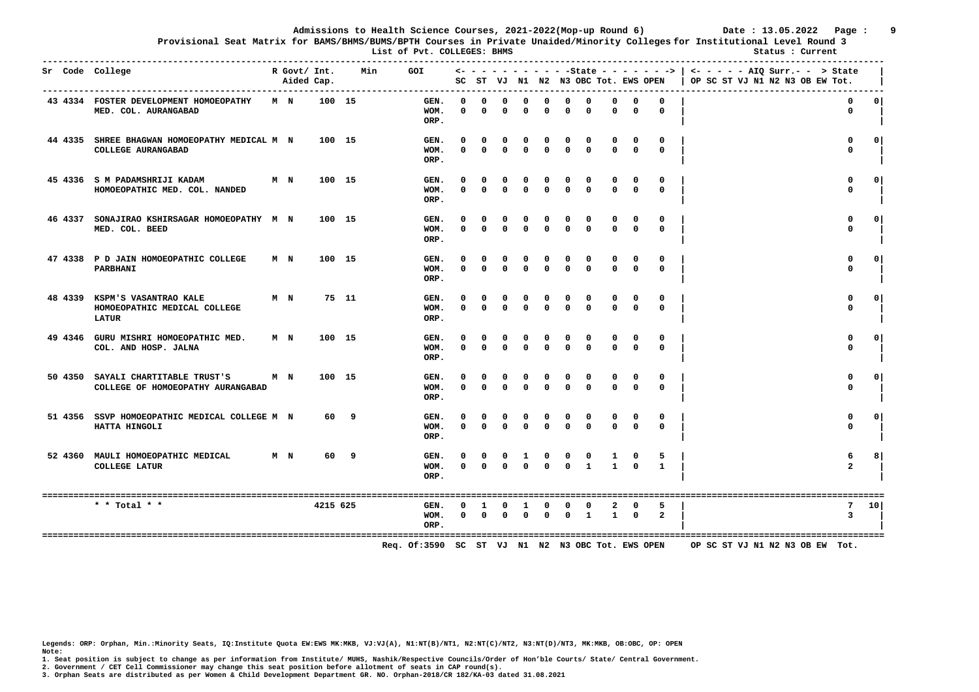**Provisional Seat Matrix for BAMS/BHMS/BUMS/BPTH Courses in Private Unaided/Minority Colleges for Institutional Level Round 3**

 **List of Pvt. COLLEGES: BHMS Status : Current** 

| Sr Code College |                                                                               |                | R Govt/ Int.<br>Aided Cap. |          | Min | GOI                  |                          |                              |                           |                            |                            |                             |                         |                        |                          |                        | $\leftarrow$ - - - - - - - - - - State - - - - - - >   <- - - - - AIQ Surr.- - > State<br>SC ST VJ N1 N2 N3 OBC Tot. EWS OPEN   OP SC ST VJ N1 N2 N3 OB EW Tot. |                              |                 |
|-----------------|-------------------------------------------------------------------------------|----------------|----------------------------|----------|-----|----------------------|--------------------------|------------------------------|---------------------------|----------------------------|----------------------------|-----------------------------|-------------------------|------------------------|--------------------------|------------------------|-----------------------------------------------------------------------------------------------------------------------------------------------------------------|------------------------------|-----------------|
|                 | 43 4334 FOSTER DEVELOPMENT HOMOEOPATHY<br>MED. COL. AURANGABAD                | M N            |                            | 100 15   |     | GEN.<br>WOM.<br>ORP. | $^{\circ}$<br>$^{\circ}$ | $^{\circ}$<br>$\Omega$       | $^{\circ}$<br>$\Omega$    | $^{\circ}$<br>0            | $^{\circ}$<br>$\Omega$     | $\mathbf 0$<br>$\mathbf{0}$ | 0<br>$\Omega$           | $^{\circ}$<br>$\Omega$ | $\mathbf{o}$<br>$\Omega$ | $^{\circ}$<br>$\Omega$ |                                                                                                                                                                 | 0<br>$\mathbf 0$             | 0 <sup>1</sup>  |
|                 | 44 4335 SHREE BHAGWAN HOMOEOPATHY MEDICAL M N<br>COLLEGE AURANGABAD           |                |                            | 100 15   |     | GEN.<br>WOM.<br>ORP. | 0                        | $\mathbf{o}$<br>$0 \qquad 0$ | 0<br>$\Omega$             | 0<br>$\Omega$              | $\Omega$                   | 0<br>$\Omega$               | 0<br>$\Omega$           | $\Omega$               | 0<br>$\Omega$            | 0<br>$\Omega$          |                                                                                                                                                                 | 0<br>$\mathbf{0}$            | $\Omega$        |
|                 | 45 4336 S M PADAMSHRIJI KADAM<br>HOMOEOPATHIC MED. COL. NANDED                | M <sub>N</sub> |                            | 100 15   |     | GEN.<br>WOM.<br>ORP. | 0                        | 0<br>$0 \quad 0$             | $\mathbf{0}$<br>$\Omega$  | $\mathbf{o}$<br>$\Omega$   | 0<br>$\Omega$              | 0<br>$\Omega$               | 0<br>$\Omega$           | 0<br>$\Omega$          | 0<br>$\Omega$            | 0<br>$\Omega$          |                                                                                                                                                                 | $\mathbf{0}$<br>$\Omega$     | $\Omega$        |
|                 | 46 4337 SONAJIRAO KSHIRSAGAR HOMOEOPATHY M N<br>MED. COL. BEED                |                |                            | 100 15   |     | GEN.<br>WOM.<br>ORP. | 0<br>$\Omega$            | $\Omega$                     | 0<br>$\Omega$             | $\Omega$<br>$\Omega$       | $\Omega$                   | 0<br>$\Omega$               | 0<br>$\Omega$           | $\Omega$               | <sup>0</sup><br>$\Omega$ | $\Omega$               |                                                                                                                                                                 | $\mathbf{0}$<br>$\Omega$     | $\Omega$        |
|                 | 47 4338 P D JAIN HOMOEOPATHIC COLLEGE<br>PARBHANI                             | M <sub>N</sub> |                            | 100 15   |     | GEN.<br>WOM.<br>ORP. | 0<br>$\Omega$            | $\overline{0}$               | $\mathbf 0$<br>$^{\circ}$ | $\mathbf{o}$<br>$^{\circ}$ | $\Omega$                   | $\Omega$                    | $\mathbf{0}$            | $\Omega$               | $^{\circ}$               | $\Omega$               |                                                                                                                                                                 | $\Omega$<br>0                | $\Omega$        |
|                 | 48 4339 KSPM'S VASANTRAO KALE<br>HOMOEOPATHIC MEDICAL COLLEGE<br><b>LATUR</b> | M <sub>N</sub> |                            | 75 11    |     | GEN.<br>WOM.<br>ORP. | $\mathbf{0}$<br>$\Omega$ | $^{\circ}$<br>$\Omega$       | $^{\circ}$<br>$\Omega$    | $\mathbf{o}$<br>$\Omega$   | $\mathbf{o}$<br>$^{\circ}$ | 0<br>$^{\circ}$             | 0<br>$\mathbf 0$        | $\Omega$               | 0<br>$^{\circ}$          | $\Omega$               |                                                                                                                                                                 | $\mathbf{0}$<br>$\mathbf{0}$ | $\Omega$        |
|                 | 49 4346 GURU MISHRI HOMOEOPATHIC MED.<br>COL. AND HOSP. JALNA                 | M <sub>N</sub> |                            | 100 15   |     | GEN.<br>WOM.<br>ORP. | 0<br>$\mathbf{0}$        | $\Omega$<br>$\mathbf 0$      | $^{\circ}$<br>$^{\circ}$  | $\Omega$<br>$^{\circ}$     | $\Omega$<br>$^{\circ}$     | 0<br>$\mathbf{0}$           | 0<br>$\mathbf{0}$       | $\Omega$               | 0<br>$\Omega$            | $\Omega$<br>$^{\circ}$ |                                                                                                                                                                 | $\mathbf{0}$<br>$\mathbf{0}$ | $^{\circ}$      |
|                 | 50 4350 SAYALI CHARTITABLE TRUST'S<br>COLLEGE OF HOMOEOPATHY AURANGABAD       | M N            |                            | 100 15   |     | GEN.<br>WOM.<br>ORP. | 0<br>$\Omega$            | $^{\circ}$<br>$\Omega$       | $^{\circ}$<br>$\Omega$    | $^{\circ}$<br>$\Omega$     | $\Omega$<br>$\Omega$       | 0<br>$\Omega$               | 0<br>$\mathbf{0}$       |                        | 0<br>$^{\circ}$          | 0<br>$\Omega$          |                                                                                                                                                                 | $\mathbf{0}$<br>$\mathbf{0}$ | $\mathbf{0}$    |
|                 | 51 4356 SSVP HOMOEOPATHIC MEDICAL COLLEGE M N<br>HATTA HINGOLI                |                |                            | 60 9     |     | GEN.<br>WOM.<br>ORP. | $^{\circ}$<br>$\Omega$   | $\Omega$<br>$\Omega$         | $^{\circ}$<br>$\Omega$    | $^{\circ}$<br>$\Omega$     | $\mathbf 0$<br>$\Omega$    | 0<br>$\Omega$               | $\mathbf 0$<br>$\Omega$ | 0<br>$\Omega$          | 0<br>$\Omega$            | 0<br>$\Omega$          |                                                                                                                                                                 | 0<br>$\mathbf{0}$            | 0 I             |
|                 | M <sub>N</sub><br>52 4360 MAULI HOMOEOPATHIC MEDICAL<br><b>COLLEGE LATUR</b>  |                |                            | 60 9     |     | GEN.<br>WOM.<br>ORP. | 0<br>$\Omega$            | $\mathbf{o}$<br>$\Omega$     | $^{\circ}$<br>$\Omega$    | -1<br>$\Omega$             | $^{\circ}$                 | $\mathbf{0}$<br>$\Omega$    | 0                       | $\mathbf{1}$           |                          | $\mathbf{1}$           |                                                                                                                                                                 | 6<br>$\overline{a}$          | 8               |
|                 | * * Total * *                                                                 |                |                            | 4215 625 |     | GEN.<br>WOM.<br>ORP. | 0                        | -1<br>$0\qquad 0$            | 0<br>$\Omega$             | -1<br>$^{\circ}$           | $^{\circ}$                 | 0<br>$^{\circ}$             | 0<br>$\mathbf{1}$       | 2<br>$\mathbf{1}$      | 0<br>$^{\circ}$          | 5<br>$\overline{2}$    |                                                                                                                                                                 | 7<br>3                       | 10 <sup>1</sup> |

 **Req. Of:3590 SC ST VJ N1 N2 N3 OBC Tot. EWS OPEN OP SC ST VJ N1 N2 N3 OB EW Tot.** 

**Legends: ORP: Orphan, Min.:Minority Seats, IQ:Institute Quota EW:EWS MK:MKB, VJ:VJ(A), N1:NT(B)/NT1, N2:NT(C)/NT2, N3:NT(D)/NT3, MK:MKB, OB:OBC, OP: OPEN Note:** 

**1. Seat position is subject to change as per information from Institute/ MUHS, Nashik/Respective Councils/Order of Hon'ble Courts/ State/ Central Government.** 

**2. Government / CET Cell Commissioner may change this seat position before allotment of seats in CAP round(s).**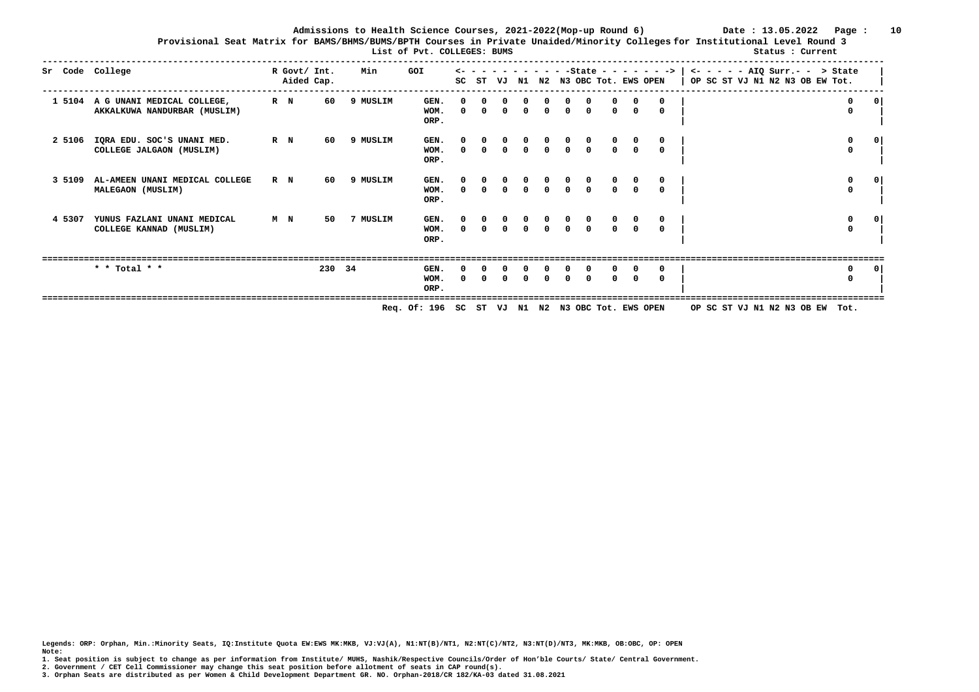**Admissions to Health Science Courses, 2021-2022(Mop-up Round 6) Date : 13.05.2022 Page : 10 Provisional Seat Matrix for BAMS/BHMS/BUMS/BPTH Courses in Private Unaided/Minority Colleges for Institutional Level Round 3**

|        | List of Pvt. COLLEGES: BUMS                                       |         |                            |          |                                                  |                        |                        |                                  |  |                                     |              |                                              |                                            |  |  | Status : Current                                                                                                                                                |  |                            |             |
|--------|-------------------------------------------------------------------|---------|----------------------------|----------|--------------------------------------------------|------------------------|------------------------|----------------------------------|--|-------------------------------------|--------------|----------------------------------------------|--------------------------------------------|--|--|-----------------------------------------------------------------------------------------------------------------------------------------------------------------|--|----------------------------|-------------|
|        | Sr Code College                                                   |         | R Govt/ Int.<br>Aided Cap. | Min      | GOI                                              |                        |                        |                                  |  |                                     |              |                                              |                                            |  |  | $\leftarrow$ - - - - - - - - - - State - - - - - - >   <- - - - - AIQ Surr.- - > State<br>SC ST VJ N1 N2 N3 OBC Tot. EWS OPEN   OP SC ST VJ N1 N2 N3 OB EW Tot. |  |                            |             |
|        | 1 5104 A G UNANI MEDICAL COLLEGE,<br>AKKALKUWA NANDURBAR (MUSLIM) | $R$ $N$ | 60                         | 9 MUSLIM | GEN.<br>WOM.<br>ORP.                             | $^{\circ}$<br>$\Omega$ | $^{\circ}$<br>$\Omega$ | $^{\circ}$<br>$\overline{0}$     |  | $\circ$ $\circ$                     |              | $0 \quad 0 \quad 0$                          |                                            |  |  |                                                                                                                                                                 |  | $\mathbf 0$<br>$\mathbf 0$ | $^{\circ}$  |
| 2 5106 | IQRA EDU. SOC'S UNANI MED.<br>COLLEGE JALGAON (MUSLIM)            | R N     | 60                         | 9 MUSLIM | GEN.<br>WOM.<br>ORP.                             | $\Omega$               | $\Omega$               | $\Omega$                         |  | $\Omega$                            | $\mathbf{0}$ | $\mathbf 0$                                  | $\Omega$                                   |  |  |                                                                                                                                                                 |  | $\mathbf 0$<br>0           | $\mathbf 0$ |
| 3 5109 | AL-AMEEN UNANI MEDICAL COLLEGE<br>MALEGAON (MUSLIM)               | R N     | 60                         | 9 MUSLIM | GEN.<br>WOM.<br>ORP.                             | $\Omega$               | $\Omega$               | $\begin{matrix}0\\0\end{matrix}$ |  | $\begin{matrix}0&0\0&0\end{matrix}$ |              | $\begin{matrix} 0 & 0 \\ 0 & 0 \end{matrix}$ |                                            |  |  |                                                                                                                                                                 |  | 0<br>$^{\circ}$            | 0           |
| 4 5307 | YUNUS FAZLANI UNANI MEDICAL<br>COLLEGE KANNAD (MUSLIM)            | M N     | 50                         | 7 MUSLIM | GEN.<br>WOM.<br>ORP.                             |                        |                        | $\Omega$                         |  |                                     |              | $0 \quad 0$                                  | $\begin{matrix}0&\mathsf{v}\0\end{matrix}$ |  |  |                                                                                                                                                                 |  | 0<br>$\mathbf 0$           | 0           |
|        | * * Total * *                                                     |         | 230 34                     |          | GEN.<br>WOM.<br>ORP.                             | $\Omega$               |                        |                                  |  |                                     |              | <sup>n</sup>                                 |                                            |  |  |                                                                                                                                                                 |  | 0<br>0                     | $\mathbf 0$ |
|        |                                                                   |         |                            |          | Req. Of: 196 SC ST VJ N1 N2 N3 OBC Tot. EWS OPEN |                        |                        |                                  |  |                                     |              |                                              |                                            |  |  | OP SC ST VJ N1 N2 N3 OB EW Tot.                                                                                                                                 |  |                            |             |

**Legends: ORP: Orphan, Min.:Minority Seats, IQ:Institute Quota EW:EWS MK:MKB, VJ:VJ(A), N1:NT(B)/NT1, N2:NT(C)/NT2, N3:NT(D)/NT3, MK:MKB, OB:OBC, OP: OPEN** 

**1. Seat position is subject to change as per information from Institute/ MUHS, Nashik/Respective Councils/Order of Hon'ble Courts/ State/ Central Government.** 

**2. Government / CET Cell Commissioner may change this seat position before allotment of seats in CAP round(s).** 

**Note:**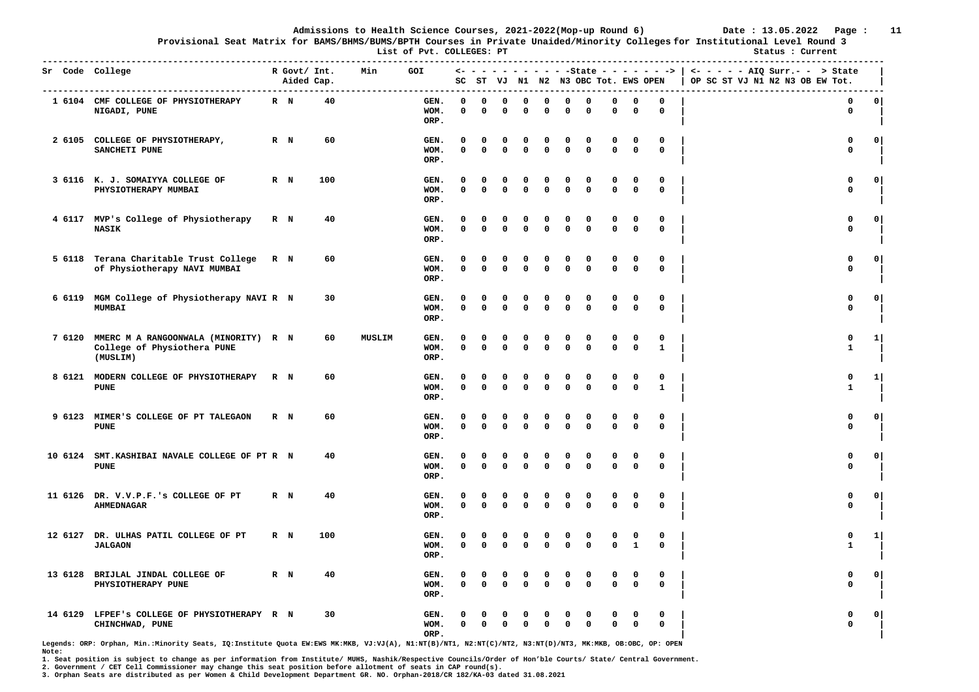**Provisional Seat Matrix for BAMS/BHMS/BUMS/BPTH Courses in Private Unaided/Minority Colleges for Institutional Level Round 3**

**List of Pvt. COLLEGES: PT** Status : Current **Status** : Current

|         | Sr Code College<br>------------------------                                     |         | R Govt/ Int.<br>Aided Cap. | .   | Min    | <b>GOI</b>           |                         |                         |                         |                   |                         |                         | SC ST VJ N1 N2 N3 OBC Tot. EWS OPEN |                            |                   |                              | <- - - - - - - - - - - State - - - - - - >   <- - - - - - AIQ Surr.- - > State<br>OP SC ST VJ N1 N2 N3 OB EW Tot. |                |
|---------|---------------------------------------------------------------------------------|---------|----------------------------|-----|--------|----------------------|-------------------------|-------------------------|-------------------------|-------------------|-------------------------|-------------------------|-------------------------------------|----------------------------|-------------------|------------------------------|-------------------------------------------------------------------------------------------------------------------|----------------|
|         | 1 6104 CMF COLLEGE OF PHYSIOTHERAPY<br>NIGADI, PUNE                             | $R$ N   |                            | 40  |        | GEN.<br>WOM.<br>ORP. | $\Omega$<br>0           | $\Omega$<br>$\mathbf 0$ | $\Omega$<br>0           | $\Omega$<br>0     | $\Omega$<br>$\Omega$    | 0<br>0                  | $\Omega$<br>0                       | $\Omega$<br>$\mathbf 0$    | 0<br>0            | $\Omega$<br>0                | $\mathbf 0$<br>0                                                                                                  | 0 <sup>1</sup> |
|         | 2 6105 COLLEGE OF PHYSIOTHERAPY,<br>SANCHETI PUNE                               | $R$ N   |                            | 60  |        | GEN.<br>WOM.<br>ORP. | O<br>$\Omega$           | 0<br>$\mathbf{0}$       | 0<br>$\Omega$           | 0<br>$\mathbf{0}$ | 0<br>$\mathbf{0}$       | 0<br>0                  | $\Omega$<br>$\mathbf{0}$            | 0<br>$\mathbf 0$           | 0<br>$\mathbf 0$  | 0<br>$\mathbf{0}$            | 0<br>$\mathbf 0$                                                                                                  | 0              |
|         | 3 6116 K. J. SOMAIYYA COLLEGE OF<br>PHYSIOTHERAPY MUMBAI                        | R N     |                            | 100 |        | GEN.<br>WOM.<br>ORP. | 0<br>0                  | 0<br>$\Omega$           | 0<br>$\Omega$           | 0<br>$\Omega$     | 0<br>$\mathbf 0$        | 0<br>0                  | 0<br>$\mathbf 0$                    | 0<br>$\mathbf 0$           | 0<br>$\mathbf 0$  | 0<br>$\mathbf 0$             | 0<br>$\mathbf 0$                                                                                                  | 0              |
|         | 4 6117 MVP's College of Physiotherapy<br><b>NASIK</b>                           | R N     |                            | 40  |        | GEN.<br>WOM.<br>ORP. | O<br>$\Omega$           | 0<br>$\mathbf{0}$       | $\Omega$<br>$\Omega$    | 0<br>$\Omega$     | 0<br>$\Omega$           | 0<br>$\Omega$           | $\Omega$<br>$\Omega$                | 0<br>$\mathbf 0$           | 0<br>$\mathbf 0$  | 0<br>0                       | 0<br>$\mathbf 0$                                                                                                  | $\mathbf{o}$   |
| 5 6118  | Terana Charitable Trust College<br>of Physiotherapy NAVI MUMBAI                 | R N     |                            | 60  |        | GEN.<br>WOM.<br>ORP. | $\Omega$<br>0           | 0<br>$\mathbf 0$        | 0<br>$\mathbf 0$        | 0<br>0            | n<br>$\mathbf 0$        | 0<br>0                  | $\mathbf 0$<br>$\mathbf 0$          | $\mathbf 0$<br>$\mathbf 0$ | 0<br>0            | 0<br>0                       | 0<br>$\mathbf 0$                                                                                                  | 0              |
| 6 6119  | MGM College of Physiotherapy NAVI R N<br><b>MUMBAI</b>                          |         |                            | 30  |        | GEN.<br>WOM.<br>ORP. | 0<br>$\mathbf{0}$       | 0<br>$\mathbf{0}$       | 0<br>$\Omega$           | 0<br>$\mathbf 0$  | 0<br>$\mathbf 0$        | $\Omega$<br>$\mathbf 0$ | $\Omega$<br>$\mathbf{0}$            | $\mathbf 0$<br>$\mathbf 0$ | 0<br>$\mathbf 0$  | 0<br>$^{\circ}$              | $\mathbf 0$<br>$\mathbf{0}$                                                                                       | $\mathbf 0$    |
| 7 6120  | MMERC M A RANGOONWALA (MINORITY) R N<br>College of Physiothera PUNE<br>(MUSLIM) |         |                            | 60  | MUSLIM | GEN.<br>WOM.<br>ORP. | $\Omega$<br>0           | 0<br>$\Omega$           | $\mathbf 0$<br>0        | 0<br>$\Omega$     | $\Omega$<br>$\Omega$    | 0<br>0                  | $\mathbf 0$<br>$\mathbf 0$          | $\mathbf 0$<br>$\mathbf 0$ | 0<br>$\mathbf 0$  | 0<br>$\mathbf{1}$            | $\mathbf 0$<br>$\mathbf{1}$                                                                                       | 1              |
|         | 8 6121 MODERN COLLEGE OF PHYSIOTHERAPY<br><b>PUNE</b>                           | R N     |                            | 60  |        | GEN.<br>WOM.<br>ORP. | O<br>0                  | 0<br>$\mathbf 0$        | $\Omega$<br>$\mathbf 0$ | 0<br>0            | റ<br>$\Omega$           | $\Omega$<br>0           | $\Omega$<br>$\mathbf 0$             | 0<br>$\mathbf 0$           | 0<br>$\mathbf 0$  | $\mathbf{o}$<br>$\mathbf{1}$ | $\mathbf 0$<br>$\mathbf{1}$                                                                                       | 1              |
| 9 6123  | MIMER'S COLLEGE OF PT TALEGAON<br><b>PUNE</b>                                   | $R$ N   |                            | 60  |        | GEN.<br>WOM.<br>ORP. | O<br>0                  | 0<br>$\mathbf 0$        | 0<br>$\Omega$           | 0<br>$\Omega$     | 0<br>$\Omega$           | 0<br>0                  | $\Omega$<br>$\Omega$                | 0<br>$\Omega$              | 0<br>$\mathbf 0$  | 0<br>$\mathbf 0$             | 0<br>$\mathbf 0$                                                                                                  | 0              |
| 10 6124 | SMT. KASHIBAI NAVALE COLLEGE OF PT R N<br><b>PUNE</b>                           |         |                            | 40  |        | GEN.<br>WOM.<br>ORP. | $\mathbf 0$<br>$\Omega$ | 0<br>$\mathbf 0$        | 0<br>$\Omega$           | 0<br>0            | 0<br>$\Omega$           | 0<br>0                  | 0<br>$\mathbf{0}$                   | $\mathbf 0$<br>$\mathbf 0$ | 0<br>$\mathbf 0$  | 0<br>$\mathbf 0$             | 0<br>$\mathbf 0$                                                                                                  | $\mathbf{o}$   |
| 11 6126 | DR. V.V.P.F.'s COLLEGE OF PT<br>AHMEDNAGAR                                      | $R$ N   |                            | 40  |        | GEN.<br>WOM.<br>ORP. | $\Omega$<br>$\Omega$    | 0<br>$\mathbf 0$        | $\Omega$<br>$\Omega$    | $\Omega$<br>0     | $\Omega$<br>$\Omega$    | $\Omega$<br>$\Omega$    | $\Omega$<br>$\Omega$                | 0<br>$\mathbf 0$           | 0<br>0            | $\mathbf 0$<br>$\mathbf 0$   | $\mathbf 0$<br>$\mathbf 0$                                                                                        | $\circ$        |
| 12 6127 | DR. ULHAS PATIL COLLEGE OF PT<br><b>JALGAON</b>                                 | R N     |                            | 100 |        | GEN.<br>WOM.<br>ORP. | 0<br>0                  | 0<br>$\mathbf 0$        | 0<br>$\Omega$           | 0<br>$\Omega$     | 0<br>$\Omega$           | 0<br>0                  | 0<br>$\mathbf 0$                    | 0<br>$\Omega$              | 0<br>$\mathbf{1}$ | 0<br>$\mathbf 0$             | 0<br>$\mathbf{1}$                                                                                                 | $1 \vert$      |
| 13 6128 | BRIJLAL JINDAL COLLEGE OF<br>PHYSIOTHERAPY PUNE                                 | $R$ $N$ |                            | 40  |        | GEN.<br>WOM.<br>ORP. | $\Omega$<br>0           | 0<br>$\mathbf 0$        | 0<br>$\mathbf 0$        | 0<br>$\mathbf 0$  | $\Omega$<br>$\mathbf 0$ | $\Omega$<br>0           | $\Omega$<br>$\mathbf 0$             | 0<br>$\mathbf 0$           | 0<br>$\mathbf 0$  | 0<br>$\mathbf 0$             | $\mathbf{0}$<br>$\mathbf 0$                                                                                       | $\mathbf{0}$   |
| 14 6129 | LFPEF'S COLLEGE OF PHYSIOTHERAPY R N<br>CHINCHWAD, PUNE                         |         |                            | 30  |        | GEN.<br>WOM.<br>ORP. | 0                       | $\mathbf{0}$            | $\Omega$                | 0                 | $\Omega$                | 0<br>0                  | 0<br>0                              | 0<br>$\Omega$              | 0<br>0            | 0<br>$\mathbf 0$             | $\Omega$<br>$\Omega$                                                                                              | 0              |

**Legends: ORP: Orphan, Min.:Minority Seats, IQ:Institute Quota EW:EWS MK:MKB, VJ:VJ(A), N1:NT(B)/NT1, N2:NT(C)/NT2, N3:NT(D)/NT3, MK:MKB, OB:OBC, OP: OPEN Note:** 

**1. Seat position is subject to change as per information from Institute/ MUHS, Nashik/Respective Councils/Order of Hon'ble Courts/ State/ Central Government.** 

**2. Government / CET Cell Commissioner may change this seat position before allotment of seats in CAP round(s).**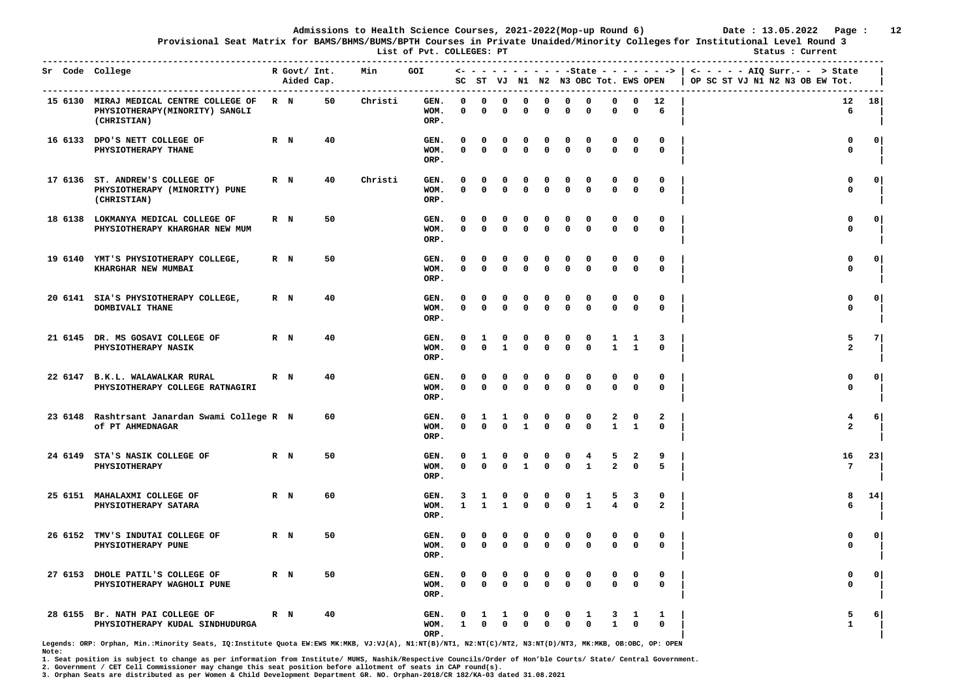**Provisional Seat Matrix for BAMS/BHMS/BUMS/BPTH Courses in Private Unaided/Minority Colleges for Institutional Level Round 3**

**List of Pyt. COLLEGES: PT** Status : Current

|         | ------------------------------------<br>Sr Code College                                      |         | R Govt/ Int.<br>Aided Cap. |    | Min     | GOI                  |                      |                   |                         |                             |                            |                   | SC ST VJ N1 N2 N3 OBC Tot. EWS OPEN |                             |                   |                              | $\leftarrow$ - - - - - - - - - - - State - - - - - - >   <- - - - - - AIQ Surr.- - > State<br>OP SC ST VJ N1 N2 N3 OB EW Tot. |               |
|---------|----------------------------------------------------------------------------------------------|---------|----------------------------|----|---------|----------------------|----------------------|-------------------|-------------------------|-----------------------------|----------------------------|-------------------|-------------------------------------|-----------------------------|-------------------|------------------------------|-------------------------------------------------------------------------------------------------------------------------------|---------------|
|         | 15 6130 MIRAJ MEDICAL CENTRE COLLEGE OF R N<br>PHYSIOTHERAPY(MINORITY) SANGLI<br>(CHRISTIAN) |         |                            | 50 | Christi | GEN.<br>WOM.<br>ORP. | 0<br>0               | 0<br>$\mathbf{0}$ | 0<br>0                  | 0<br>$\Omega$               | $\Omega$<br>0              | 0<br>0            | 0<br>0                              | 0<br>0                      | 0<br>0            | 12<br>6                      | 6                                                                                                                             | $12 \quad 18$ |
|         | 16 6133 DPO'S NETT COLLEGE OF<br>PHYSIOTHERAPY THANE                                         | $R$ $N$ |                            | 40 |         | GEN.<br>WOM.<br>ORP. | O<br>0               | 0<br>$\Omega$     | 0<br>$\mathbf 0$        | 0<br>0                      | $\mathbf 0$<br>$\mathbf 0$ | 0<br>0            | 0<br>$\mathbf 0$                    | $\mathbf 0$<br>$\mathbf 0$  | 0<br>$\mathbf 0$  | 0<br>$\mathbf 0$             | 0<br>$\mathbf 0$                                                                                                              | 0             |
|         | 17 6136 ST. ANDREW'S COLLEGE OF<br>PHYSIOTHERAPY (MINORITY) PUNE<br>(CHRISTIAN)              | $R$ N   |                            | 40 | Christi | GEN.<br>WOM.<br>ORP. | $\Omega$<br>$\Omega$ | 0<br>$\Omega$     | $\Omega$<br>$\mathbf 0$ | 0<br>0                      | $\Omega$<br>$\Omega$       | 0<br>$\mathbf{0}$ | $\Omega$<br>$\mathbf{0}$            | <sup>0</sup><br>$\mathbf 0$ | 0<br>$\Omega$     | $^{\circ}$<br>$\mathbf 0$    | 0<br>$\mathbf 0$                                                                                                              | $^{\circ}$    |
|         | 18 6138 LOKMANYA MEDICAL COLLEGE OF<br>PHYSIOTHERAPY KHARGHAR NEW MUM                        | $R$ N   |                            | 50 |         | GEN.<br>WOM.<br>ORP. | 0<br>0               | 0<br>$\mathbf 0$  | 0<br>$\mathbf 0$        | 0<br>0                      | $\mathbf{o}$<br>$\Omega$   | 0<br>0            | 0<br>0                              | 0<br>$\mathbf 0$            | 0<br>$\mathbf 0$  | 0<br>0                       | 0<br>$\mathbf 0$                                                                                                              | $\circ$       |
|         | 19 6140 YMT'S PHYSIOTHERAPY COLLEGE,<br>KHARGHAR NEW MUMBAI                                  | $R$ $N$ |                            | 50 |         | GEN.<br>WOM.<br>ORP. | $\Omega$<br>0        | 0<br>$\mathbf{0}$ | O<br>$\Omega$           | 0<br>$\mathbf{0}$           | $\Omega$<br>$\mathbf 0$    | 0<br>$\Omega$     | $\Omega$<br>$\mathbf{0}$            | 0<br>$\mathbf 0$            | 0<br>$\mathbf{0}$ | 0<br>$\mathbf{0}$            | $\mathbf 0$<br>$\mathbf 0$                                                                                                    | $\Omega$      |
| 20 6141 | SIA'S PHYSIOTHERAPY COLLEGE,<br>DOMBIVALI THANE                                              | $R$ $N$ |                            | 40 |         | GEN.<br>WOM.<br>ORP. | 0<br>$\mathbf{0}$    | 0<br>$\mathbf 0$  | 0<br>$\mathbf 0$        | $\mathbf{o}$<br>$\mathbf 0$ | 0<br>$\mathbf 0$           | 0<br>$\mathbf 0$  | 0<br>$\mathbf{0}$                   | 0<br>$\mathbf 0$            | 0<br>$\mathbf 0$  | 0<br>$^{\circ}$              | 0<br>$\mathbf{0}$                                                                                                             | $\circ$       |
|         | 21 6145 DR. MS GOSAVI COLLEGE OF<br>PHYSIOTHERAPY NASIK                                      | $R$ $N$ |                            | 40 |         | GEN.<br>WOM.<br>ORP. | 0<br>0               | 1<br>$\mathbf 0$  | 0<br>$\mathbf{1}$       | $\mathbf{o}$<br>0           | 0<br>$\mathbf 0$           | 0<br>0            | 0<br>$\mathbf 0$                    | 1<br>$\mathbf{1}$           | 1<br>$\mathbf{1}$ | 3<br>$\mathbf 0$             | 5<br>$\overline{a}$                                                                                                           | 7             |
|         | 22 6147 B.K.L. WALAWALKAR RURAL<br>PHYSIOTHERAPY COLLEGE RATNAGIRI                           | $R$ N   |                            | 40 |         | GEN.<br>WOM.<br>ORP. | O<br>$\Omega$        | 0<br>$\mathbf{0}$ | 0<br>0                  | 0<br>0                      | 0<br>$\Omega$              | 0<br>0            | $\Omega$<br>0                       | O<br>$\mathbf 0$            | 0<br>0            | 0<br>0                       | $\mathbf{0}$<br>$\mathbf 0$                                                                                                   | $\circ$       |
|         | 23 6148 Rashtrsant Janardan Swami College R N<br>Of PT AHMEDNAGAR                            |         |                            | 60 |         | GEN.<br>WOM.<br>ORP. | 0<br>$\Omega$        | 1<br>$\mathbf{0}$ | 1<br>$\mathbf 0$        | 0<br>1                      | 0<br>$\Omega$              | 0<br>0            | 0<br>0                              | 2<br>$\mathbf{1}$           | 0<br>$\mathbf{1}$ | $\mathbf{2}$<br>$\mathbf{0}$ | 4<br>$\overline{a}$                                                                                                           | <b>6</b>      |
|         | 24 6149 STA'S NASIK COLLEGE OF<br>PHYSIOTHERAPY                                              | $R$ $N$ |                            | 50 |         | GEN.<br>WOM.<br>ORP. | 0<br>0               | 1<br>$\Omega$     | 0<br>$\Omega$           | 0<br>$\mathbf{1}$           | 0<br>$\Omega$              | 0<br>0            | 4<br>$\mathbf{1}$                   | 5<br>$\overline{a}$         | 2<br>$\mathbf 0$  | 9<br>5                       | 16<br>7                                                                                                                       | 23            |
|         | 25 6151 MAHALAXMI COLLEGE OF<br>PHYSIOTHERAPY SATARA                                         | $R$ N   |                            | 60 |         | GEN.<br>WOM.<br>ORP. | 3<br>$\mathbf{1}$    | 1<br>$\mathbf{1}$ | 0<br>$\mathbf{1}$       | 0<br>0                      | $\mathbf{o}$<br>$\Omega$   | 0<br>$\mathbf 0$  | 1<br>$\mathbf{1}$                   | 5<br>4                      | 3<br>$\mathbf 0$  | 0<br>$\overline{a}$          | 8<br>6                                                                                                                        | 14            |
|         | 26 6152 TMV'S INDUTAI COLLEGE OF<br>PHYSIOTHERAPY PUNE                                       | R N     |                            | 50 |         | GEN.<br>WOM.<br>ORP. | 0<br>0               | 0<br>$\mathbf 0$  | 0<br>$\mathbf 0$        | 0<br>0                      | 0<br>$\Omega$              | 0<br>0            | 0<br>0                              | 0<br>$\mathbf 0$            | 0<br>$\mathbf 0$  | 0<br>0                       | 0<br>0                                                                                                                        | 0             |
|         | 27 6153 DHOLE PATIL'S COLLEGE OF<br>PHYSIOTHERAPY WAGHOLI PUNE                               | $R$ N   |                            | 50 |         | GEN.<br>WOM.<br>ORP. | 0<br>$\mathbf{0}$    | 0<br>$\mathbf 0$  | 0<br>$\Omega$           | $\mathbf 0$<br>$\Omega$     | 0<br>$\mathbf 0$           | 0<br>$\mathbf{0}$ | 0<br>$\mathbf 0$                    | 0<br>$\mathbf 0$            | 0<br>$\Omega$     | 0<br>$\Omega$                | $\mathbf 0$<br>$\mathbf{0}$                                                                                                   | $\circ$       |
| 28 6155 | Br. NATH PAI COLLEGE OF<br>PHYSIOTHERAPY KUDAL SINDHUDURGA                                   | $R$ N   |                            | 40 |         | GEN.<br>WOM.<br>ORP. | $\mathbf{1}$         | $\mathbf 0$       | $\Omega$                | $\Omega$                    | 0<br>$\mathbf 0$           | 0<br>$\mathbf 0$  | 1<br>$\mathbf 0$                    | 3<br>$\mathbf{1}$           | 1<br>$\mathbf 0$  | 1<br>$\mathbf 0$             | 5<br>$\mathbf{1}$                                                                                                             | 6             |

**Legends: ORP: Orphan, Min.:Minority Seats, IQ:Institute Quota EW:EWS MK:MKB, VJ:VJ(A), N1:NT(B)/NT1, N2:NT(C)/NT2, N3:NT(D)/NT3, MK:MKB, OB:OBC, OP: OPEN Note:** 

**1. Seat position is subject to change as per information from Institute/ MUHS, Nashik/Respective Councils/Order of Hon'ble Courts/ State/ Central Government.** 

**2. Government / CET Cell Commissioner may change this seat position before allotment of seats in CAP round(s).**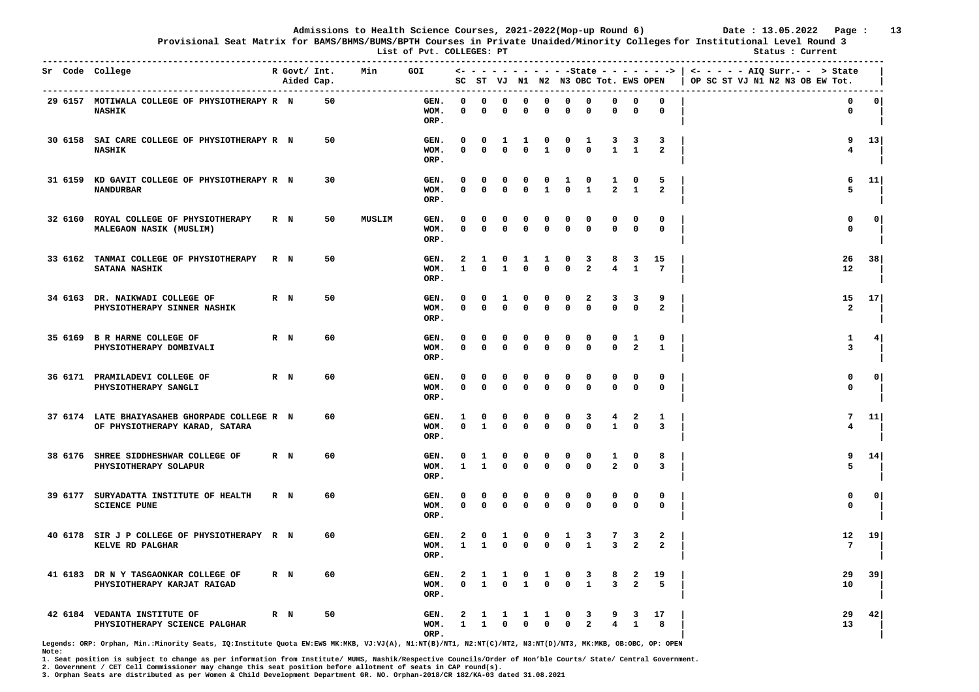**Provisional Seat Matrix for BAMS/BHMS/BUMS/BPTH Courses in Private Unaided/Minority Colleges for Institutional Level Round 3**

**List of Pvt. COLLEGES: PT** Status : Current **Status** : Current **Status** : Current

|         | Sr Code College                                                                 | R Govt/ Int.<br>Aided Cap. | ------- | Min           | <b>GOI</b>           |                            |                   |                          |                      |                   |                            | SC ST VJ N1 N2 N3 OBC Tot. EWS OPEN |                              |                     |                              | <- - - - - - - - - - - State - - - - - - >   <- - - - - AIQ Surr.- - > State<br>OP SC ST VJ N1 N2 N3 OB EW Tot. |                |
|---------|---------------------------------------------------------------------------------|----------------------------|---------|---------------|----------------------|----------------------------|-------------------|--------------------------|----------------------|-------------------|----------------------------|-------------------------------------|------------------------------|---------------------|------------------------------|-----------------------------------------------------------------------------------------------------------------|----------------|
|         | 29 6157 MOTIWALA COLLEGE OF PHYSIOTHERAPY R N<br><b>NASHIK</b>                  |                            | 50      |               | GEN.<br>WOM.<br>ORP. | $\Omega$<br>0              | $\Omega$<br>0     | $\Omega$<br>0            | 0<br>0               | 0<br>$\mathbf 0$  | $\mathbf 0$<br>0           | $\mathbf 0$<br>0                    | 0<br>0                       | 0<br>0              | $\Omega$<br>$\mathbf 0$      | $\mathbf 0$<br>$\mathbf 0$                                                                                      | 0 <sup>1</sup> |
|         | 30 6158 SAI CARE COLLEGE OF PHYSIOTHERAPY R N<br><b>NASHIK</b>                  |                            | 50      |               | GEN.<br>WOM.<br>ORP. | 0<br>$\Omega$              | 0<br>$\mathbf 0$  | 1<br>$\mathbf 0$         | 1<br>$\Omega$        | 0<br>$\mathbf{1}$ | 0<br>$\Omega$              | 1<br>$\mathbf 0$                    | 3<br>$\mathbf{1}$            | 3<br>$\mathbf{1}$   | 3<br>$\overline{a}$          | 9<br>$\overline{\mathbf{4}}$                                                                                    | 13             |
| 31 6159 | KD GAVIT COLLEGE OF PHYSIOTHERAPY R N<br><b>NANDURBAR</b>                       |                            | 30      |               | GEN.<br>WOM.<br>ORP. | 0<br>$\mathbf 0$           | 0<br>0            | 0<br>$\mathbf{0}$        | 0<br>$\Omega$        | 0<br>$\mathbf{1}$ | 1<br>$\mathbf 0$           | 0<br>$\mathbf{1}$                   | 1<br>$\overline{\mathbf{2}}$ | 0<br>$\mathbf{1}$   | 5<br>$\overline{a}$          | 6<br>5                                                                                                          | 11             |
| 32 6160 | ROYAL COLLEGE OF PHYSIOTHERAPY<br>MALEGAON NASIK (MUSLIM)                       | R N                        | 50      | <b>MUSLIM</b> | GEN.<br>WOM.<br>ORP. | $\Omega$<br>$\mathbf{0}$   | 0<br>0            | $\Omega$<br>$\mathbf{0}$ | 0<br>$\mathbf 0$     | 0<br>$\mathbf{0}$ | 0<br>$\Omega$              | 0<br>$\Omega$                       | 0<br>$\Omega$                | 0<br>$\mathbf{0}$   | 0<br>$\mathbf 0$             | 0<br>$\mathbf{0}$                                                                                               | 0              |
|         | 33 6162 TANMAI COLLEGE OF PHYSIOTHERAPY<br><b>SATANA NASHIK</b>                 | R N                        | 50      |               | GEN.<br>WOM.<br>ORP. | 2<br>$\mathbf{1}$          | 1<br>0            | n<br>$\mathbf{1}$        | 1<br>$\mathbf 0$     | 1<br>$\mathbf 0$  | $\mathbf 0$<br>$\mathbf 0$ | 3<br>$\overline{a}$                 | 8<br>$\overline{\mathbf{4}}$ | 3<br>$\mathbf{1}$   | 15<br>$\overline{7}$         | 26<br>12                                                                                                        | 38             |
| 34 6163 | DR. NAIKWADI COLLEGE OF<br>PHYSIOTHERAPY SINNER NASHIK                          | R N                        | 50      |               | GEN.<br>WOM.<br>ORP. | 0<br>$\mathbf 0$           | 0<br>$\mathbf 0$  | 1<br>$\Omega$            | 0<br>$^{\circ}$      | 0<br>$\mathbf{0}$ | 0<br>$\mathbf 0$           | 2<br>$\mathbf 0$                    | 3<br>$\mathbf 0$             | 3<br>$\mathbf 0$    | 9<br>$\overline{a}$          | 15<br>$\overline{a}$                                                                                            | 17             |
|         | 35 6169 B R HARNE COLLEGE OF<br>PHYSIOTHERAPY DOMBIVALI                         | $R$ $N$                    | 60      |               | GEN.<br>WOM.<br>ORP. | $\mathbf 0$<br>$\mathbf 0$ | 0<br>0            | 0<br>$\mathbf{0}$        | 0<br>$\Omega$        | 0<br>0            | $\mathbf 0$<br>$\Omega$    | 0<br>$\Omega$                       | 0<br>0                       | 1<br>$\overline{a}$ | 0<br>$\mathbf{1}$            | 1<br>3                                                                                                          | 4              |
|         | 36 6171 PRAMILADEVI COLLEGE OF<br>PHYSIOTHERAPY SANGLI                          | R N                        | 60      |               | GEN.<br>WOM.<br>ORP. | $\Omega$<br>$\mathbf 0$    | $\Omega$<br>0     | $\Omega$<br>0            | 0<br>0               | 0<br>0            | 0<br>0                     | 0<br>0                              | $\Omega$<br>$\mathbf 0$      | 0<br>$\mathbf 0$    | 0<br>$\mathbf{o}$            | $\mathbf{0}$<br>$\mathbf 0$                                                                                     | $\circ$        |
|         | 37 6174 LATE BHAIYASAHEB GHORPADE COLLEGE R N<br>OF PHYSIOTHERAPY KARAD, SATARA |                            | 60      |               | GEN.<br>WOM.<br>ORP. | 1<br>$\mathbf 0$           | 0<br>$\mathbf{1}$ | $\Omega$<br>$\mathbf 0$  | $\Omega$<br>$\Omega$ | 0<br>$\Omega$     | 0<br>0                     | 3<br>$\Omega$                       | 4<br>$\mathbf{1}$            | 2<br>$\mathbf 0$    | 1<br>$\overline{\mathbf{3}}$ | 7<br>4                                                                                                          | 11             |
|         | 38 6176 SHREE SIDDHESHWAR COLLEGE OF<br>PHYSIOTHERAPY SOLAPUR                   | R N                        | 60      |               | GEN.<br>WOM.<br>ORP. | 0<br>$\mathbf{1}$          | 1<br>$\mathbf{1}$ | 0<br>0                   | 0<br>$\Omega$        | 0<br>$\Omega$     | 0<br>0                     | 0<br>$\Omega$                       | 1<br>$\overline{a}$          | 0<br>$\mathbf 0$    | 8<br>$\overline{\mathbf{3}}$ | 9<br>5                                                                                                          | 14             |
| 39 6177 | SURYADATTA INSTITUTE OF HEALTH<br><b>SCIENCE PUNE</b>                           | R N                        | 60      |               | GEN.<br>WOM.<br>ORP. | $\Omega$<br>$\Omega$       | 0<br>0            | 0<br>$\mathbf{0}$        | $\Omega$<br>$\Omega$ | 0<br>$\Omega$     | $\Omega$<br>$\Omega$       | 0<br>$\Omega$                       | 0<br>0                       | 0<br>$\mathbf 0$    | $\mathbf 0$<br>$\mathbf 0$   | $\mathbf 0$<br>$\mathbf 0$                                                                                      | 0              |
|         | 40 6178 SIR J P COLLEGE OF PHYSIOTHERAPY R N<br>KELVE RD PALGHAR                |                            | 60      |               | GEN.<br>WOM.<br>ORP. | 2<br>$\mathbf{1}$          | 0<br>$\mathbf{1}$ | 1<br>$\mathbf{0}$        | 0<br>$\Omega$        | 0<br>$\mathbf{0}$ | 1<br>$\Omega$              | 3<br>$\mathbf{1}$                   | 7<br>3                       | 3<br>$\overline{a}$ | 2<br>$\overline{a}$          | 12<br>7                                                                                                         | 19             |
|         | 41 6183 DR N Y TASGAONKAR COLLEGE OF<br>PHYSIOTHERAPY KARJAT RAIGAD             | $R$ $N$                    | 60      |               | GEN.<br>WOM.<br>ORP. | 2<br>$\mathbf 0$           | 1<br>$\mathbf{1}$ | 1<br>$\mathbf 0$         | 0<br>$\mathbf{1}$    | 1<br>$\mathbf 0$  | 0<br>$\mathbf 0$           | 3<br>$\mathbf{1}$                   | 8<br>3                       | 2<br>$\overline{a}$ | 19<br>5                      | 29<br>10                                                                                                        | 39             |
|         | 42 6184 VEDANTA INSTITUTE OF<br>PHYSIOTHERAPY SCIENCE PALGHAR                   | R N                        | 50      |               | GEN.<br>WOM.<br>ORP. | $\mathbf{1}$               | $\mathbf{1}$      | $\Omega$                 | $^{\circ}$           | 1<br>$\mathbf 0$  | 0<br>0                     | 3<br>$\overline{a}$                 | 9<br>4                       | 3<br>1              | 17<br>8                      | 29<br>13                                                                                                        | 42             |

**Legends: ORP: Orphan, Min.:Minority Seats, IQ:Institute Quota EW:EWS MK:MKB, VJ:VJ(A), N1:NT(B)/NT1, N2:NT(C)/NT2, N3:NT(D)/NT3, MK:MKB, OB:OBC, OP: OPEN Note:** 

**1. Seat position is subject to change as per information from Institute/ MUHS, Nashik/Respective Councils/Order of Hon'ble Courts/ State/ Central Government.** 

**2. Government / CET Cell Commissioner may change this seat position before allotment of seats in CAP round(s).**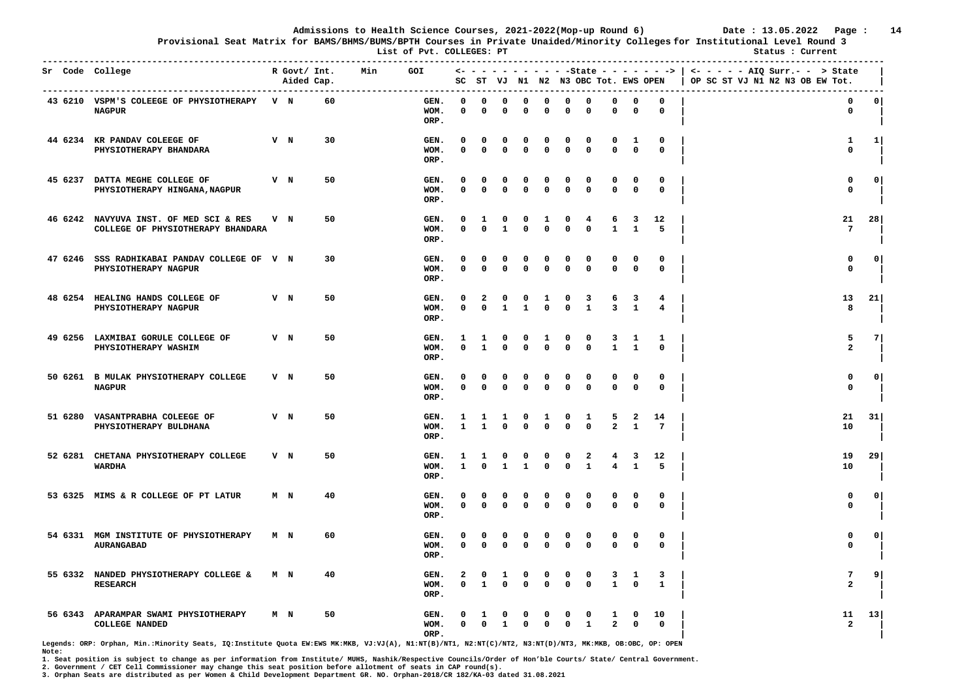**Provisional Seat Matrix for BAMS/BHMS/BUMS/BPTH Courses in Private Unaided/Minority Colleges for Institutional Level Round 3**

**List of Pyt. COLLEGES: PT** Status : Current

|         | Sr Code College<br>----------------------------------                       |                | R Govt/ Int.<br>Aided Cap. | ---- | Min | GOI                  |                   |                          |                              |                             |                          |               | SC ST VJ N1 N2 N3 OBC Tot. EWS OPEN |                              |                             |                      | <- - - - - - - - - - - State - - - - - - ->   <- - - - - AIQ Surr.- - -> State<br>OP SC ST VJ N1 N2 N3 OB EW Tot. |              |
|---------|-----------------------------------------------------------------------------|----------------|----------------------------|------|-----|----------------------|-------------------|--------------------------|------------------------------|-----------------------------|--------------------------|---------------|-------------------------------------|------------------------------|-----------------------------|----------------------|-------------------------------------------------------------------------------------------------------------------|--------------|
|         | 43 6210 VSPM'S COLEEGE OF PHYSIOTHERAPY V N<br><b>NAGPUR</b>                |                |                            | 60   |     | GEN.<br>WOM.<br>ORP. | <sup>o</sup><br>0 | $\Omega$<br>0            | $\Omega$<br>0                | $\Omega$<br>0               | $\Omega$<br>0            | 0<br>0        | $\Omega$<br>0                       | $\Omega$<br>0                | 0<br>0                      | $\Omega$<br>0        | $\mathbf 0$<br>0                                                                                                  | 0            |
|         | 44 6234 KR PANDAV COLEEGE OF<br>PHYSIOTHERAPY BHANDARA                      | $V$ N          |                            | 30   |     | GEN.<br>WOM.<br>ORP. | O<br>$\Omega$     | 0<br>$\Omega$            | 0<br>$\mathbf{0}$            | 0<br>$\Omega$               | 0<br>$\mathbf{0}$        | 0<br>0        | 0<br>$\mathbf{0}$                   | 0<br>$\Omega$                | 1<br>$\mathbf{0}$           | 0<br>$\mathbf 0$     | 1<br>$\mathbf{0}$                                                                                                 | $1 \vert$    |
|         | 45 6237 DATTA MEGHE COLLEGE OF<br>PHYSIOTHERAPY HINGANA, NAGPUR             | V N            |                            | 50   |     | GEN.<br>WOM.<br>ORP. | 0<br>$\Omega$     | 0<br>$\Omega$            | 0<br>0                       | 0<br>0                      | 0<br>$\mathbf 0$         | 0<br>0        | 0<br>$\Omega$                       | 0<br>$\mathbf 0$             | 0<br>0                      | 0<br>$\mathbf 0$     | 0<br>$\mathbf 0$                                                                                                  | 0            |
|         | 46 6242 NAVYUVA INST. OF MED SCI & RES<br>COLLEGE OF PHYSIOTHERAPY BHANDARA | $V$ N          |                            | 50   |     | GEN.<br>WOM.<br>ORP. | O<br>0            | 1<br>$\Omega$            | 0<br>$\mathbf{1}$            | 0<br>0                      | 1<br>$\mathbf{0}$        | 0<br>0        | 4<br>0                              | 6<br>$\mathbf{1}$            | 3<br>$\mathbf{1}$           | 12<br>5              | 21<br>7                                                                                                           | 28           |
| 47 6246 | SSS RADHIKABAI PANDAV COLLEGE OF V N<br>PHYSIOTHERAPY NAGPUR                |                |                            | 30   |     | GEN.<br>WOM.<br>ORP. | $\Omega$<br>0     | 0<br>$\mathbf 0$         | 0<br>$\mathbf 0$             | 0<br>$\mathbf 0$            | n<br>$\mathbf 0$         | 0<br>0        | $\Omega$<br>$\mathbf 0$             | $\Omega$<br>$\mathbf 0$      | 0<br>$\mathbf 0$            | 0<br>0               | 0<br>$\mathbf 0$                                                                                                  | 0            |
| 48 6254 | HEALING HANDS COLLEGE OF<br>PHYSIOTHERAPY NAGPUR                            | $V$ N          |                            | 50   |     | GEN.<br>WOM.<br>ORP. | 0<br>$\mathbf{0}$ | $\mathbf{2}$<br>$\Omega$ | $\mathbf{o}$<br>$\mathbf{1}$ | $\mathbf{o}$<br>$\mathbf 1$ | 1<br>$\mathbf{0}$        | 0<br>0        | 3<br>$\mathbf{1}$                   | 6<br>3                       | 3<br>$\mathbf{1}$           | 4<br>4               | 13<br>8                                                                                                           | 21           |
|         | 49 6256 LAXMIBAI GORULE COLLEGE OF<br>PHYSIOTHERAPY WASHIM                  | V N            |                            | 50   |     | GEN.<br>WOM.<br>ORP. | 1<br>0            | 1<br>$\mathbf{1}$        | 0<br>$\Omega$                | 0<br>$\Omega$               | 1<br>$\Omega$            | 0<br>0        | 0<br>$\mathbf 0$                    | 3<br>$\mathbf{1}$            | 1<br>$\mathbf{1}$           | 1<br>$\mathbf 0$     | 5<br>$\overline{a}$                                                                                               | <b>7</b>     |
|         | 50 6261 B MULAK PHYSIOTHERAPY COLLEGE<br><b>NAGPUR</b>                      | $V$ N          |                            | 50   |     | GEN.<br>WOM.<br>ORP. | <sup>0</sup><br>0 | 0<br>0                   | 0<br>$\mathbf 0$             | $\mathbf{o}$<br>0           | $\Omega$<br>0            | 0<br>0        | $\Omega$<br>0                       | 0<br>$\mathbf 0$             | $\mathbf{o}$<br>$\mathbf 0$ | 0<br>$\mathbf 0$     | $\mathbf 0$<br>$\mathbf 0$                                                                                        | 0            |
| 51 6280 | VASANTPRABHA COLEEGE OF<br>PHYSIOTHERAPY BULDHANA                           | V N            |                            | 50   |     | GEN.<br>WOM.<br>ORP. | 1<br>$\mathbf{1}$ | 1<br>$\mathbf{1}$        | 1<br>0                       | 0<br>$\Omega$               | 1<br>$\Omega$            | 0<br>0        | 1<br>$\mathbf 0$                    | 5<br>$\overline{\mathbf{2}}$ | 2<br>$\mathbf{1}$           | 14<br>$\overline{7}$ | 21<br>10                                                                                                          | 31           |
|         | 52 6281 CHETANA PHYSIOTHERAPY COLLEGE<br><b>WARDHA</b>                      | V N            |                            | 50   |     | GEN.<br>WOM.<br>ORP. | 1<br>$\mathbf{1}$ | 1<br>$\mathbf{0}$        | 0<br>1                       | 0<br>$\mathbf{1}$           | 0<br>$\Omega$            | 0<br>0        | 2<br>$\mathbf{1}$                   | 4<br>4                       | 3<br>$\mathbf{1}$           | 12<br>5              | 19<br>10                                                                                                          | 29           |
|         | 53 6325 MIMS & R COLLEGE OF PT LATUR                                        | M <sub>N</sub> |                            | 40   |     | GEN.<br>WOM.<br>ORP. | $\Omega$<br>0     | 0<br>$\mathbf 0$         | 0<br>$\Omega$                | 0<br>0                      | 0<br>$\Omega$            | $\Omega$<br>0 | 0<br>$\Omega$                       | 0<br>$\mathbf 0$             | 0<br>0                      | $\mathbf 0$<br>0     | $\mathbf 0$<br>0                                                                                                  | $\circ$      |
|         | 54 6331 MGM INSTITUTE OF PHYSIOTHERAPY<br><b>AURANGABAD</b>                 | M N            |                            | 60   |     | GEN.<br>WOM.<br>ORP. | 0<br>0            | 0<br>$\mathbf{0}$        | 0<br>$\mathbf{0}$            | 0<br>0                      | 0<br>$\Omega$            | 0<br>0        | 0<br>0                              | 0<br>$\mathbf{0}$            | 0<br>$\mathbf 0$            | 0<br>$\mathbf 0$     | 0<br>$\mathbf 0$                                                                                                  | $\mathbf{o}$ |
|         | 55 6332 NANDED PHYSIOTHERAPY COLLEGE &<br><b>RESEARCH</b>                   | M <sub>N</sub> |                            | 40   |     | GEN.<br>WOM.<br>ORP. | 2<br>$\mathbf{0}$ | 0<br>$\mathbf{1}$        | 1<br>$\mathbf 0$             | 0<br>$\mathbf 0$            | $\Omega$<br>$\mathbf{0}$ | 0<br>0        | 0<br>$\mathbf 0$                    | 3<br>$\mathbf{1}$            | $\mathbf{1}$<br>$\mathbf 0$ | 3<br>$\mathbf{1}$    | 7<br>$\mathbf{2}$                                                                                                 | 9            |
|         | 56 6343 APARAMPAR SWAMI PHYSIOTHERAPY<br><b>COLLEGE NANDED</b>              | M N            |                            | 50   |     | GEN.<br>WOM.<br>ORP. | $^{\circ}$        | $\Omega$                 | 0<br>1                       | c<br>0                      | 0                        | 0<br>0        | 0<br>1                              | 1<br>$\overline{a}$          | 0<br>0                      | 10<br>$\mathbf 0$    | 11<br>$\overline{a}$                                                                                              | 13           |

**Legends: ORP: Orphan, Min.:Minority Seats, IQ:Institute Quota EW:EWS MK:MKB, VJ:VJ(A), N1:NT(B)/NT1, N2:NT(C)/NT2, N3:NT(D)/NT3, MK:MKB, OB:OBC, OP: OPEN Note:** 

**1. Seat position is subject to change as per information from Institute/ MUHS, Nashik/Respective Councils/Order of Hon'ble Courts/ State/ Central Government.** 

**2. Government / CET Cell Commissioner may change this seat position before allotment of seats in CAP round(s).**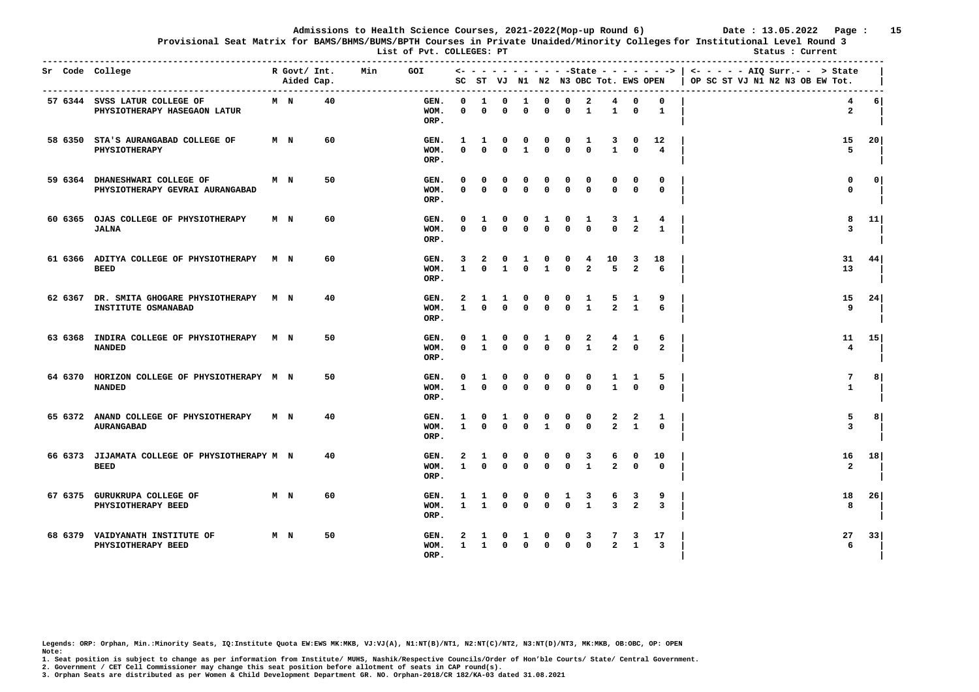**Provisional Seat Matrix for BAMS/BHMS/BUMS/BPTH Courses in Private Unaided/Minority Colleges for Institutional Level Round 3**

**List of Pvt. COLLEGES: PT** Status : Current **Status** : Current

| Sr Code College |                                                                    |                | R Govt/ Int.<br>Aided Cap. |    | Min | <b>GOI</b>           | SC                |                      |                   |               |                   |                   | ST VJ N1 N2 N3 OBC Tot. EWS OPEN        |                     |                          | <- - - - - - - - - - -State - - - - - - -> | $\leftarrow$ - - - - AIQ Surr.- - > State<br>OP SC ST VJ N1 N2 N3 OB EW Tot. |                 |
|-----------------|--------------------------------------------------------------------|----------------|----------------------------|----|-----|----------------------|-------------------|----------------------|-------------------|---------------|-------------------|-------------------|-----------------------------------------|---------------------|--------------------------|--------------------------------------------|------------------------------------------------------------------------------|-----------------|
|                 | 57 6344 SVSS LATUR COLLEGE OF<br>PHYSIOTHERAPY HASEGAON LATUR      | M N            |                            | 40 |     | GEN.<br>WOM.<br>ORP. | 0<br>0            | 1<br>$\mathbf 0$     | 0<br>0            | -1<br>0       | 0<br>$\Omega$     | 0<br>0            | 2<br>$\mathbf{1}$                       | 4<br>$\mathbf{1}$   | 0<br>$\mathbf 0$         | 0<br>$\mathbf{1}$                          | 4<br>$\overline{a}$                                                          | 6               |
|                 | 58 6350 STA'S AURANGABAD COLLEGE OF<br>PHYSIOTHERAPY               | M N            |                            | 60 |     | GEN.<br>WOM.<br>ORP. | -1<br>0           | 1<br>$\Omega$        | 0<br>0            | 0<br>1        | $\Omega$          | 0<br>0            | 1<br>0                                  | 3<br>$\mathbf{1}$   | 0<br>0                   | 12<br>4                                    | 15<br>5                                                                      | 20              |
|                 | 59 6364 DHANESHWARI COLLEGE OF<br>PHYSIOTHERAPY GEVRAI AURANGABAD  | M N            |                            | 50 |     | GEN.<br>WOM.<br>ORP. | $\mathbf{0}$<br>0 | 0<br>$\Omega$        | 0<br>0            | 0<br>0        | 0<br>$\Omega$     | 0<br>0            | 0<br>0                                  | 0<br>$\Omega$       | 0<br>0                   | 0<br>$\mathbf{0}$                          | 0<br>0                                                                       | 0               |
|                 | 60 6365 OJAS COLLEGE OF PHYSIOTHERAPY<br><b>JALNA</b>              | M N            |                            | 60 |     | GEN.<br>WOM.<br>ORP. | <sup>0</sup><br>n | 1<br>$\Omega$        | 0<br>O            | o<br>O        | 1<br>$\Omega$     | 0<br>0            | 1<br>0                                  | 3<br>$\Omega$       | 1<br>$\mathbf{2}$        | 4<br>$\mathbf{1}$                          | 8<br>3                                                                       | 11              |
|                 | 61 6366 ADITYA COLLEGE OF PHYSIOTHERAPY M N<br><b>BEED</b>         |                |                            | 60 |     | GEN.<br>WOM.<br>ORP. | 3<br>$\mathbf{1}$ | 2<br>$\Omega$        | 0<br>$\mathbf{1}$ | 1<br>0        | 0<br>$\mathbf{1}$ | 0<br>0            | 4<br>$\overline{a}$                     | 10<br>5             | 3<br>$\overline{a}$      | 18<br>6                                    | 31<br>13                                                                     | 44              |
|                 | 62 6367 DR. SMITA GHOGARE PHYSIOTHERAPY M N<br>INSTITUTE OSMANABAD |                |                            | 40 |     | GEN.<br>WOM.<br>ORP. | 2<br>1            | 1<br>$\Omega$        | $\mathbf{1}$<br>0 | 0<br>0        | 0<br>0            | 0<br>0            | 1<br>$\mathbf{1}$                       | 5<br>$\overline{a}$ | 1<br>$\mathbf{1}$        | 9<br>6                                     | 15<br>9                                                                      | 24              |
|                 | 63 6368 INDIRA COLLEGE OF PHYSIOTHERAPY M N<br><b>NANDED</b>       |                |                            | 50 |     | GEN.<br>WOM.<br>ORP. | 0<br>0            | 1<br>$\mathbf{1}$    | 0<br>$\Omega$     | 0<br>0        | 1<br>$\Omega$     | 0<br>$\Omega$     | $\overline{\mathbf{2}}$<br>$\mathbf{1}$ | 4<br>$\overline{a}$ | 1<br>$\Omega$            | 6<br>$\overline{a}$                        | 11<br>$\overline{4}$                                                         | 15 <sub>1</sub> |
|                 | 64 6370 HORIZON COLLEGE OF PHYSIOTHERAPY M N<br><b>NANDED</b>      |                |                            | 50 |     | GEN.<br>WOM.<br>ORP. | 0<br>$\mathbf{1}$ | 1<br>$\mathbf{0}$    | 0<br>$\mathbf{0}$ | 0<br>0        | n<br>$\Omega$     | 0<br>$\Omega$     | 0<br>$\Omega$                           | 1<br>$\mathbf{1}$   | 1<br>$\Omega$            | 5<br>$\mathbf{0}$                          | 7<br>$\mathbf{1}$                                                            | 8               |
|                 | 65 6372 ANAND COLLEGE OF PHYSIOTHERAPY<br><b>AURANGABAD</b>        | M N            |                            | 40 |     | GEN.<br>WOM.<br>ORP. | 1<br>$\mathbf{1}$ | $\Omega$<br>$\Omega$ | 1<br>$\Omega$     | 0<br>$\Omega$ | 0<br>$\mathbf{1}$ | 0<br>0            | 0<br>$\Omega$                           | 2<br>$\overline{a}$ | 2<br>$\mathbf{1}$        | 1<br>$\Omega$                              | 5<br>3                                                                       | 8               |
|                 | 66 6373 JIJAMATA COLLEGE OF PHYSIOTHERAPY M N<br><b>BEED</b>       |                |                            | 40 |     | GEN.<br>WOM.<br>ORP. | 2<br>$\mathbf{1}$ | 1<br>$\Omega$        | <sup>0</sup><br>0 | 0<br>$\Omega$ | 0<br>$\Omega$     | 0<br>0            | 3<br>$\mathbf{1}$                       | 6<br>$\overline{a}$ | $\mathbf{o}$<br>$\Omega$ | 10<br>$^{\circ}$                           | 16<br>$\overline{\mathbf{2}}$                                                | 18              |
|                 | 67 6375 GURUKRUPA COLLEGE OF<br>PHYSIOTHERAPY BEED                 | M <sub>N</sub> |                            | 60 |     | GEN.<br>WOM.<br>ORP. | $\mathbf{1}$      | -1<br>$\mathbf{1}$   | O<br>$\Omega$     | O<br>$\Omega$ | n<br>$\Omega$     | 1<br>$\Omega$     | 3<br>$\mathbf{1}$                       | 6<br>3              | 3<br>$\overline{a}$      | 9<br>$\overline{3}$                        | 18<br>8                                                                      | 26              |
|                 | 68 6379 VAIDYANATH INSTITUTE OF<br>PHYSIOTHERAPY BEED              | M N            |                            | 50 |     | GEN.<br>WOM.<br>ORP. | $\mathbf{1}$      | $\mathbf{1}$         | $\mathbf{0}$      | 0             | $\Omega$          | 0<br>$\mathbf{0}$ | 3<br>$\mathbf{0}$                       | $\overline{a}$      | 3<br>$\mathbf{1}$        | 17<br>$\overline{3}$                       | 27<br>6                                                                      | 33              |

**Legends: ORP: Orphan, Min.:Minority Seats, IQ:Institute Quota EW:EWS MK:MKB, VJ:VJ(A), N1:NT(B)/NT1, N2:NT(C)/NT2, N3:NT(D)/NT3, MK:MKB, OB:OBC, OP: OPEN Note:** 

**1. Seat position is subject to change as per information from Institute/ MUHS, Nashik/Respective Councils/Order of Hon'ble Courts/ State/ Central Government.** 

**2. Government / CET Cell Commissioner may change this seat position before allotment of seats in CAP round(s).**